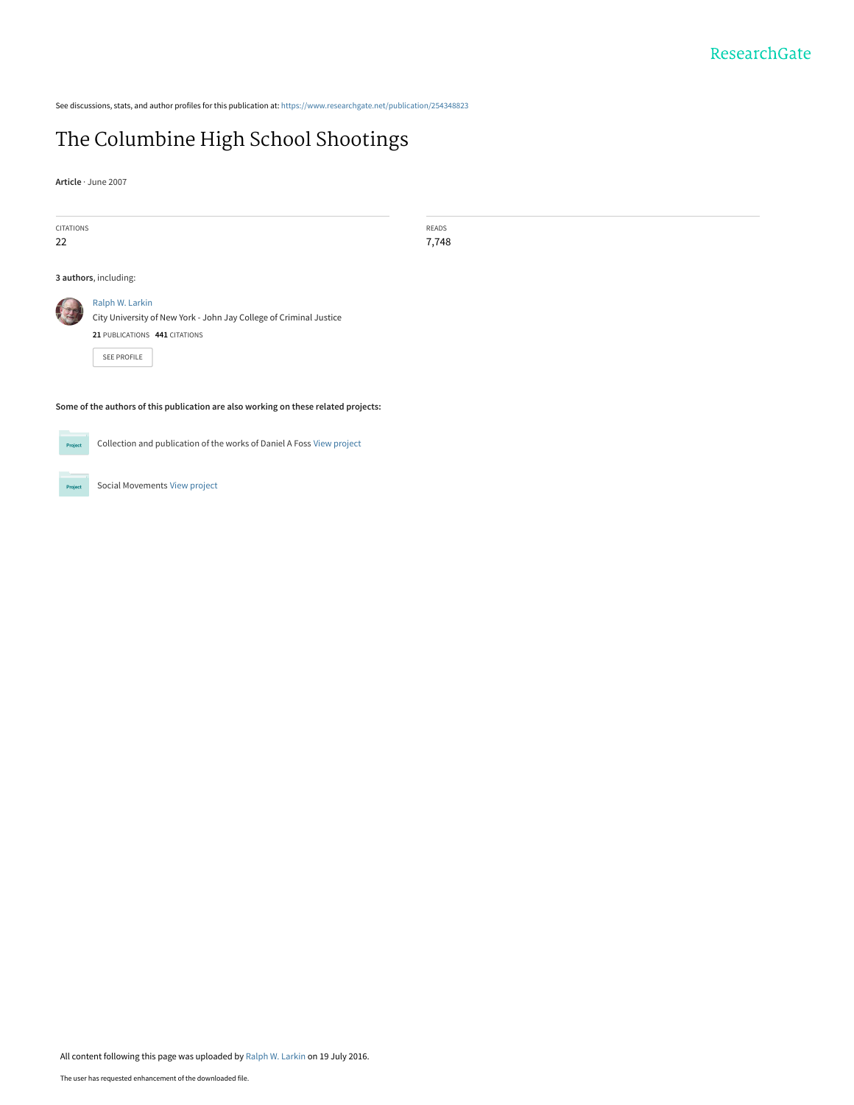See discussions, stats, and author profiles for this publication at: [https://www.researchgate.net/publication/254348823](https://www.researchgate.net/publication/254348823_The_Columbine_High_School_Shootings?enrichId=rgreq-29f7b85982d78fcbe8fc7c53372887bc-XXX&enrichSource=Y292ZXJQYWdlOzI1NDM0ODgyMztBUzozODU2NjY1NzY4NjMyMzJAMTQ2ODk2MTQ4NTAyNw%3D%3D&el=1_x_2&_esc=publicationCoverPdf)

# [The Columbine High School Shootings](https://www.researchgate.net/publication/254348823_The_Columbine_High_School_Shootings?enrichId=rgreq-29f7b85982d78fcbe8fc7c53372887bc-XXX&enrichSource=Y292ZXJQYWdlOzI1NDM0ODgyMztBUzozODU2NjY1NzY4NjMyMzJAMTQ2ODk2MTQ4NTAyNw%3D%3D&el=1_x_3&_esc=publicationCoverPdf)

**Article** · June 2007

| CITATIONS                                                                           | READS                                                              |
|-------------------------------------------------------------------------------------|--------------------------------------------------------------------|
| 22                                                                                  | 7,748                                                              |
|                                                                                     |                                                                    |
| 3 authors, including:                                                               |                                                                    |
|                                                                                     | Ralph W. Larkin                                                    |
| $\frac{1}{2}$                                                                       | City University of New York - John Jay College of Criminal Justice |
|                                                                                     | 21 PUBLICATIONS 441 CITATIONS                                      |
|                                                                                     | SEE PROFILE                                                        |
|                                                                                     |                                                                    |
| Some of the authors of this publication are also working on these related projects: |                                                                    |



Project

Collection and publication of the works of Daniel A Foss [View project](https://www.researchgate.net/project/Collection-and-publication-of-the-works-of-Daniel-A-Foss?enrichId=rgreq-29f7b85982d78fcbe8fc7c53372887bc-XXX&enrichSource=Y292ZXJQYWdlOzI1NDM0ODgyMztBUzozODU2NjY1NzY4NjMyMzJAMTQ2ODk2MTQ4NTAyNw%3D%3D&el=1_x_9&_esc=publicationCoverPdf)

Social Movements [View project](https://www.researchgate.net/project/Social-Movements-3?enrichId=rgreq-29f7b85982d78fcbe8fc7c53372887bc-XXX&enrichSource=Y292ZXJQYWdlOzI1NDM0ODgyMztBUzozODU2NjY1NzY4NjMyMzJAMTQ2ODk2MTQ4NTAyNw%3D%3D&el=1_x_9&_esc=publicationCoverPdf)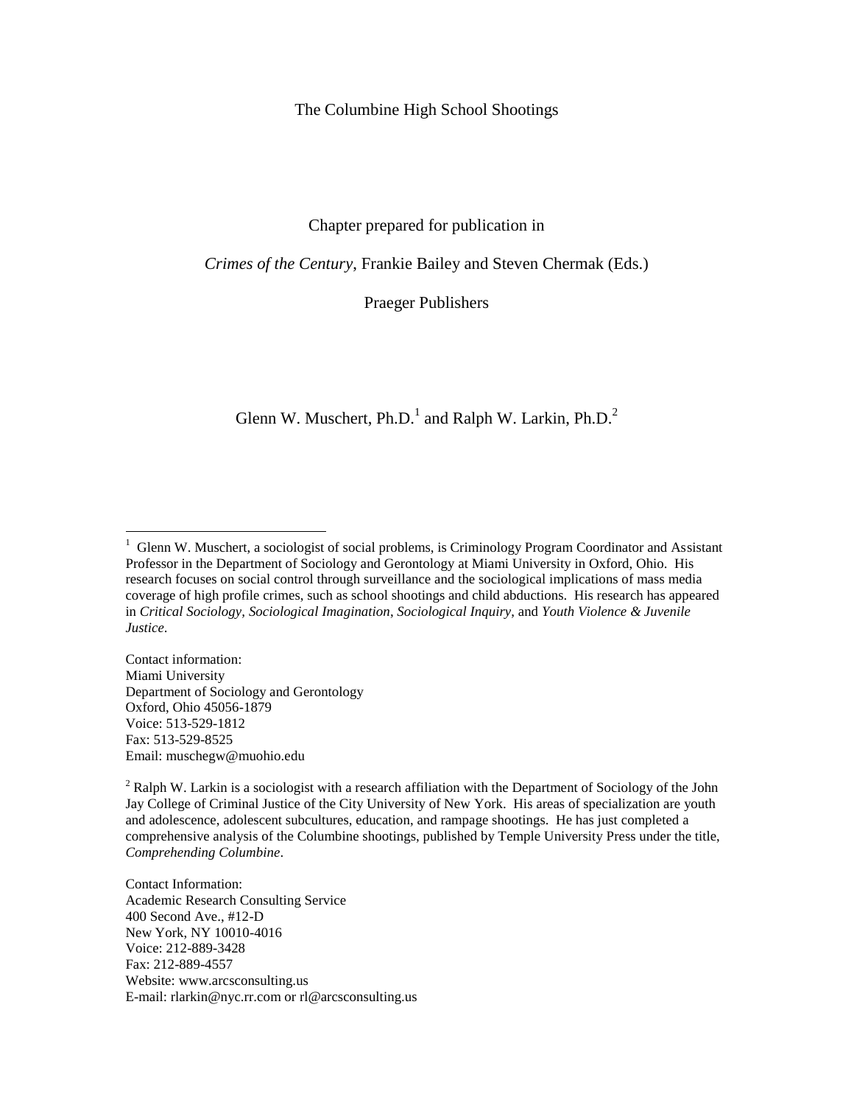The Columbine High School Shootings

Chapter prepared for publication in

*Crimes of the Century*, Frankie Bailey and Steven Chermak (Eds.)

Praeger Publishers

Glenn W. Muschert,  $Ph.D.^1$  and Ralph W. Larkin,  $Ph.D.^2$ 

Contact information: Miami University Department of Sociology and Gerontology Oxford, Ohio 45056-1879 Voice: 513-529-1812 Fax: 513-529-8525 Email: muschegw@muohio.edu

 $\overline{a}$ 

<sup>2</sup> Ralph W. Larkin is a sociologist with a research affiliation with the Department of Sociology of the John Jay College of Criminal Justice of the City University of New York. His areas of specialization are youth and adolescence, adolescent subcultures, education, and rampage shootings. He has just completed a comprehensive analysis of the Columbine shootings, published by Temple University Press under the title, *Comprehending Columbine*.

Contact Information: Academic Research Consulting Service 400 Second Ave., #12-D New York, NY 10010-4016 Voice: 212-889-3428 Fax: 212-889-4557 Website: www.arcsconsulting.us E-mail: rlarkin@nyc.rr.com or rl@arcsconsulting.us

<sup>&</sup>lt;sup>1</sup> Glenn W. Muschert, a sociologist of social problems, is Criminology Program Coordinator and Assistant Professor in the Department of Sociology and Gerontology at Miami University in Oxford, Ohio. His research focuses on social control through surveillance and the sociological implications of mass media coverage of high profile crimes, such as school shootings and child abductions. His research has appeared in *Critical Sociology, Sociological Imagination*, *Sociological Inquiry*, and *Youth Violence & Juvenile Justice*.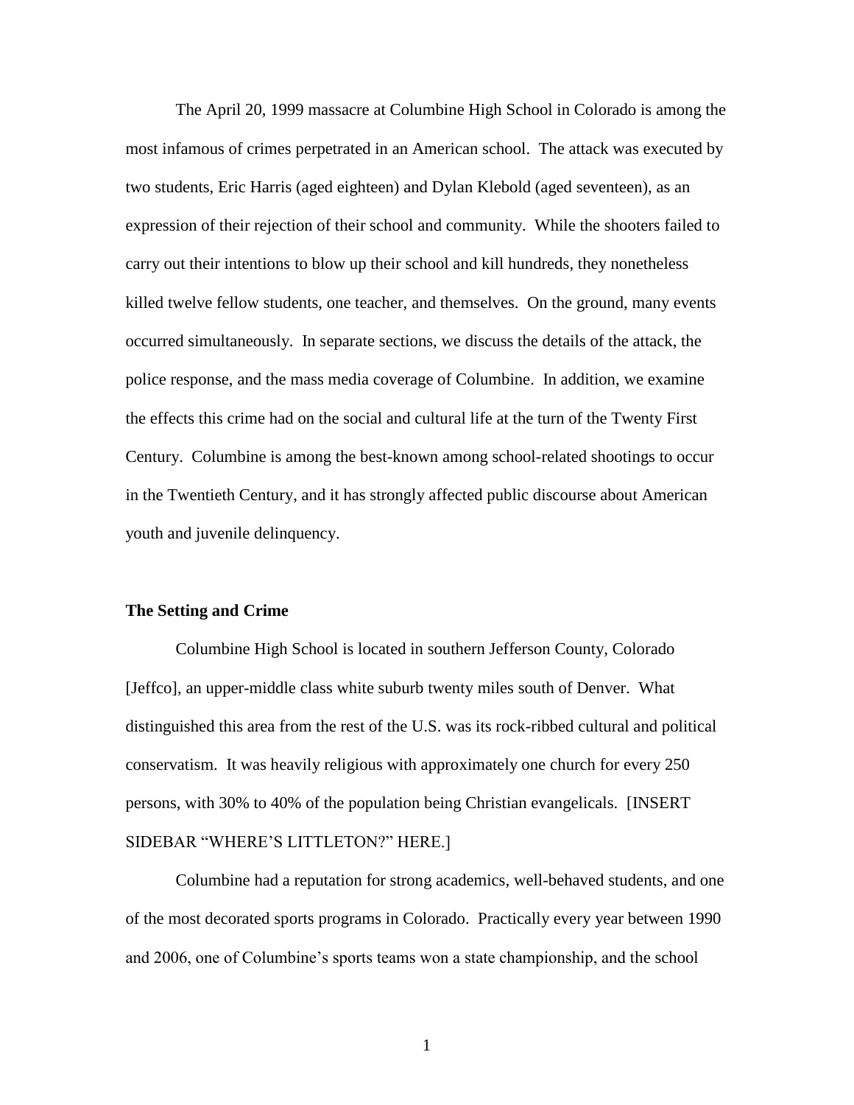The April 20, 1999 massacre at Columbine High School in Colorado is among the most infamous of crimes perpetrated in an American school. The attack was executed by two students, Eric Harris (aged eighteen) and Dylan Klebold (aged seventeen), as an expression of their rejection of their school and community. While the shooters failed to carry out their intentions to blow up their school and kill hundreds, they nonetheless killed twelve fellow students, one teacher, and themselves. On the ground, many events occurred simultaneously. In separate sections, we discuss the details of the attack, the police response, and the mass media coverage of Columbine. In addition, we examine the effects this crime had on the social and cultural life at the turn of the Twenty First Century. Columbine is among the best-known among school-related shootings to occur in the Twentieth Century, and it has strongly affected public discourse about American youth and juvenile delinquency.

## **The Setting and Crime**

Columbine High School is located in southern Jefferson County, Colorado [Jeffco], an upper-middle class white suburb twenty miles south of Denver. What distinguished this area from the rest of the U.S. was its rock-ribbed cultural and political conservatism. It was heavily religious with approximately one church for every 250 persons, with 30% to 40% of the population being Christian evangelicals. [INSERT SIDEBAR "WHERE'S LITTLETON?" HERE.]

Columbine had a reputation for strong academics, well-behaved students, and one of the most decorated sports programs in Colorado. Practically every year between 1990 and 2006, one of Columbine's sports teams won a state championship, and the school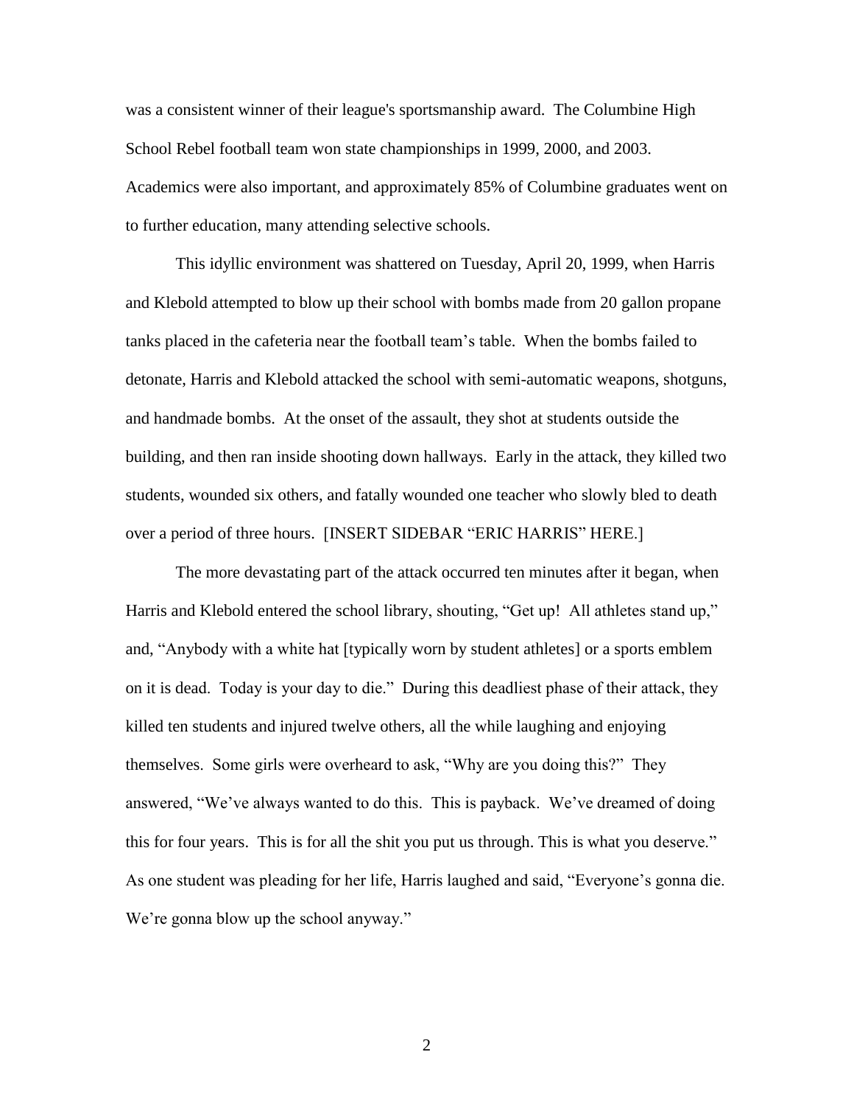was a consistent winner of their league's sportsmanship award. The Columbine High School Rebel football team won state championships in 1999, 2000, and 2003. Academics were also important, and approximately 85% of Columbine graduates went on to further education, many attending selective schools.

This idyllic environment was shattered on Tuesday, April 20, 1999, when Harris and Klebold attempted to blow up their school with bombs made from 20 gallon propane tanks placed in the cafeteria near the football team's table. When the bombs failed to detonate, Harris and Klebold attacked the school with semi-automatic weapons, shotguns, and handmade bombs. At the onset of the assault, they shot at students outside the building, and then ran inside shooting down hallways. Early in the attack, they killed two students, wounded six others, and fatally wounded one teacher who slowly bled to death over a period of three hours. [INSERT SIDEBAR "ERIC HARRIS" HERE.]

The more devastating part of the attack occurred ten minutes after it began, when Harris and Klebold entered the school library, shouting, "Get up! All athletes stand up," and, "Anybody with a white hat [typically worn by student athletes] or a sports emblem on it is dead. Today is your day to die." During this deadliest phase of their attack, they killed ten students and injured twelve others, all the while laughing and enjoying themselves. Some girls were overheard to ask, "Why are you doing this?" They answered, "We've always wanted to do this. This is payback. We've dreamed of doing this for four years. This is for all the shit you put us through. This is what you deserve." As one student was pleading for her life, Harris laughed and said, "Everyone's gonna die. We're gonna blow up the school anyway."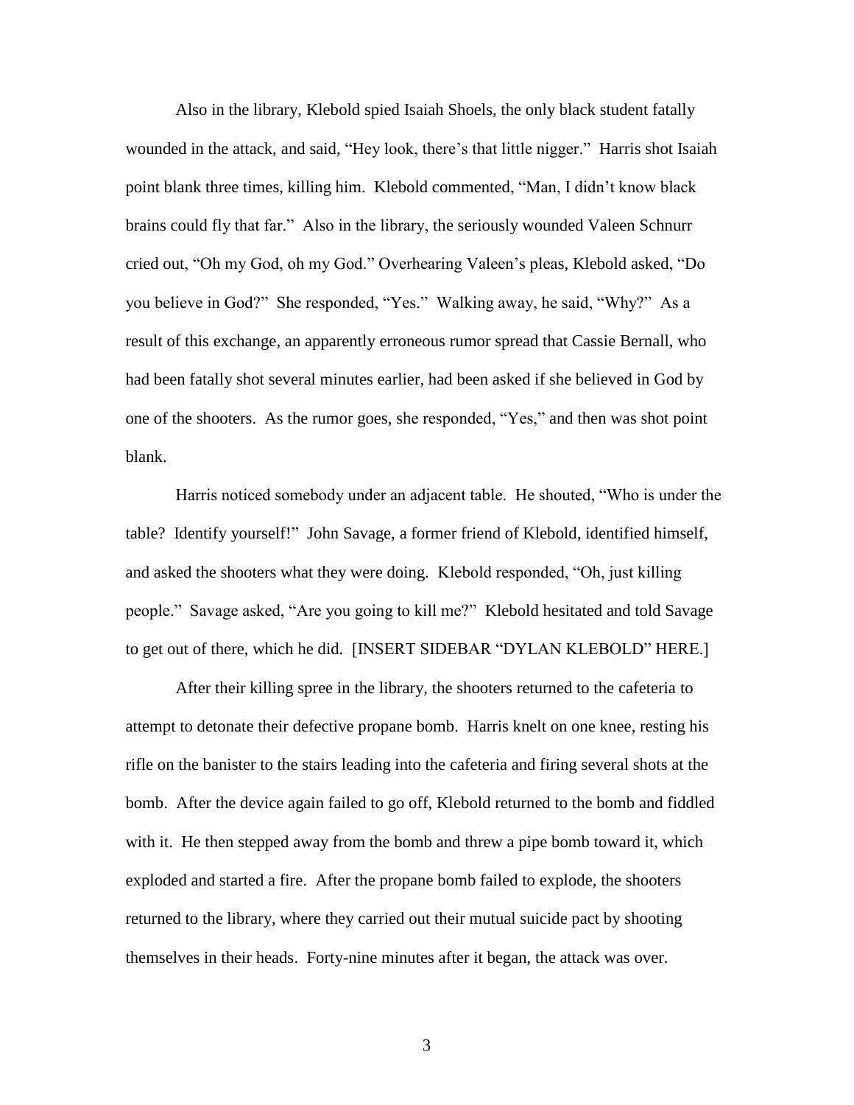Also in the library, Klebold spied Isaiah Shoels, the only black student fatally wounded in the attack, and said, "Hey look, there's that little nigger." Harris shot Isaiah point blank three times, killing him. Klebold commented, "Man, I didn't know black brains could fly that far." Also in the library, the seriously wounded Valeen Schnurr cried out, "Oh my God, oh my God." Overhearing Valeen's pleas, Klebold asked, "Do you believe in God?" She responded, "Yes." Walking away, he said, "Why?" As a result of this exchange, an apparently erroneous rumor spread that Cassie Bernall, who had been fatally shot several minutes earlier, had been asked if she believed in God by one of the shooters. As the rumor goes, she responded, "Yes," and then was shot point blank.

Harris noticed somebody under an adjacent table. He shouted, "Who is under the table? Identify yourself!" John Savage, a former friend of Klebold, identified himself, and asked the shooters what they were doing. Klebold responded, "Oh, just killing people." Savage asked, "Are you going to kill me?" Klebold hesitated and told Savage to get out of there, which he did. [INSERT SIDEBAR "DYLAN KLEBOLD" HERE.]

After their killing spree in the library, the shooters returned to the cafeteria to attempt to detonate their defective propane bomb. Harris knelt on one knee, resting his rifle on the banister to the stairs leading into the cafeteria and firing several shots at the bomb. After the device again failed to go off, Klebold returned to the bomb and fiddled with it. He then stepped away from the bomb and threw a pipe bomb toward it, which exploded and started a fire. After the propane bomb failed to explode, the shooters returned to the library, where they carried out their mutual suicide pact by shooting themselves in their heads. Forty-nine minutes after it began, the attack was over.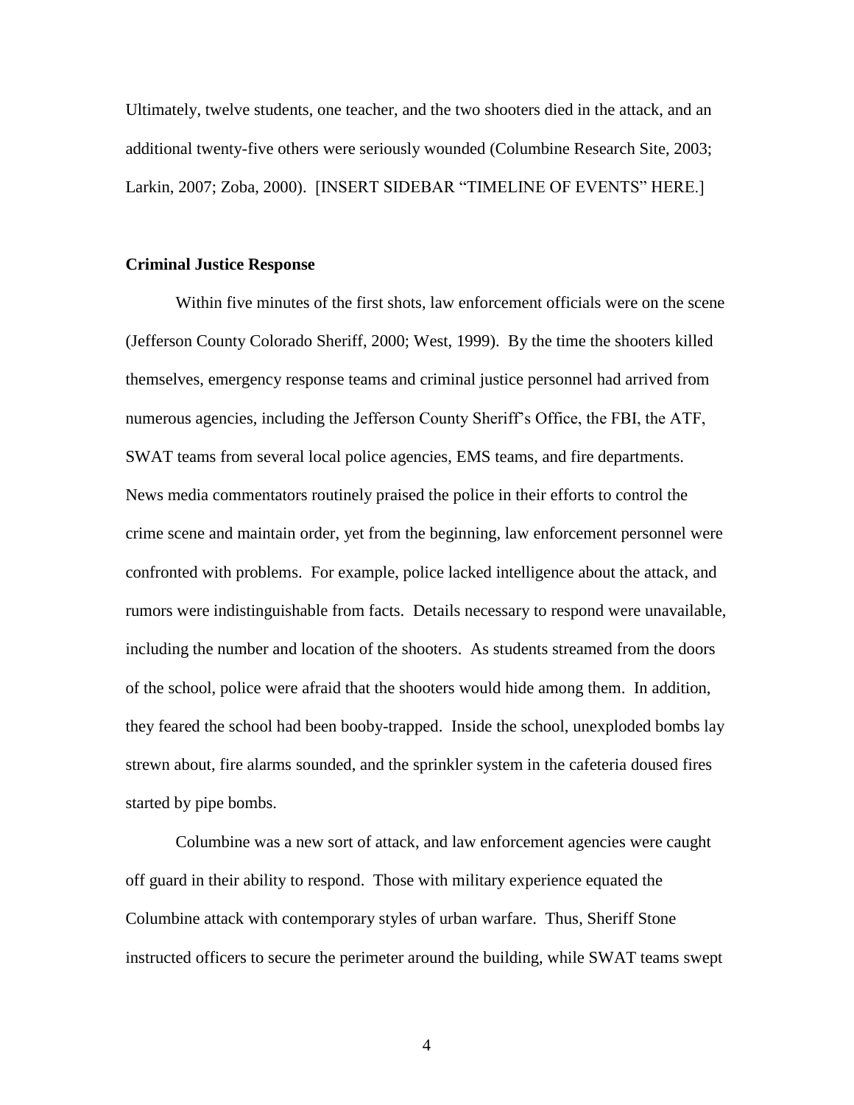Ultimately, twelve students, one teacher, and the two shooters died in the attack, and an additional twenty-five others were seriously wounded (Columbine Research Site, 2003; Larkin, 2007; Zoba, 2000). [INSERT SIDEBAR "TIMELINE OF EVENTS" HERE.]

### **Criminal Justice Response**

Within five minutes of the first shots, law enforcement officials were on the scene (Jefferson County Colorado Sheriff, 2000; West, 1999). By the time the shooters killed themselves, emergency response teams and criminal justice personnel had arrived from numerous agencies, including the Jefferson County Sheriff's Office, the FBI, the ATF, SWAT teams from several local police agencies, EMS teams, and fire departments. News media commentators routinely praised the police in their efforts to control the crime scene and maintain order, yet from the beginning, law enforcement personnel were confronted with problems. For example, police lacked intelligence about the attack, and rumors were indistinguishable from facts. Details necessary to respond were unavailable, including the number and location of the shooters. As students streamed from the doors of the school, police were afraid that the shooters would hide among them. In addition, they feared the school had been booby-trapped. Inside the school, unexploded bombs lay strewn about, fire alarms sounded, and the sprinkler system in the cafeteria doused fires started by pipe bombs.

Columbine was a new sort of attack, and law enforcement agencies were caught off guard in their ability to respond. Those with military experience equated the Columbine attack with contemporary styles of urban warfare. Thus, Sheriff Stone instructed officers to secure the perimeter around the building, while SWAT teams swept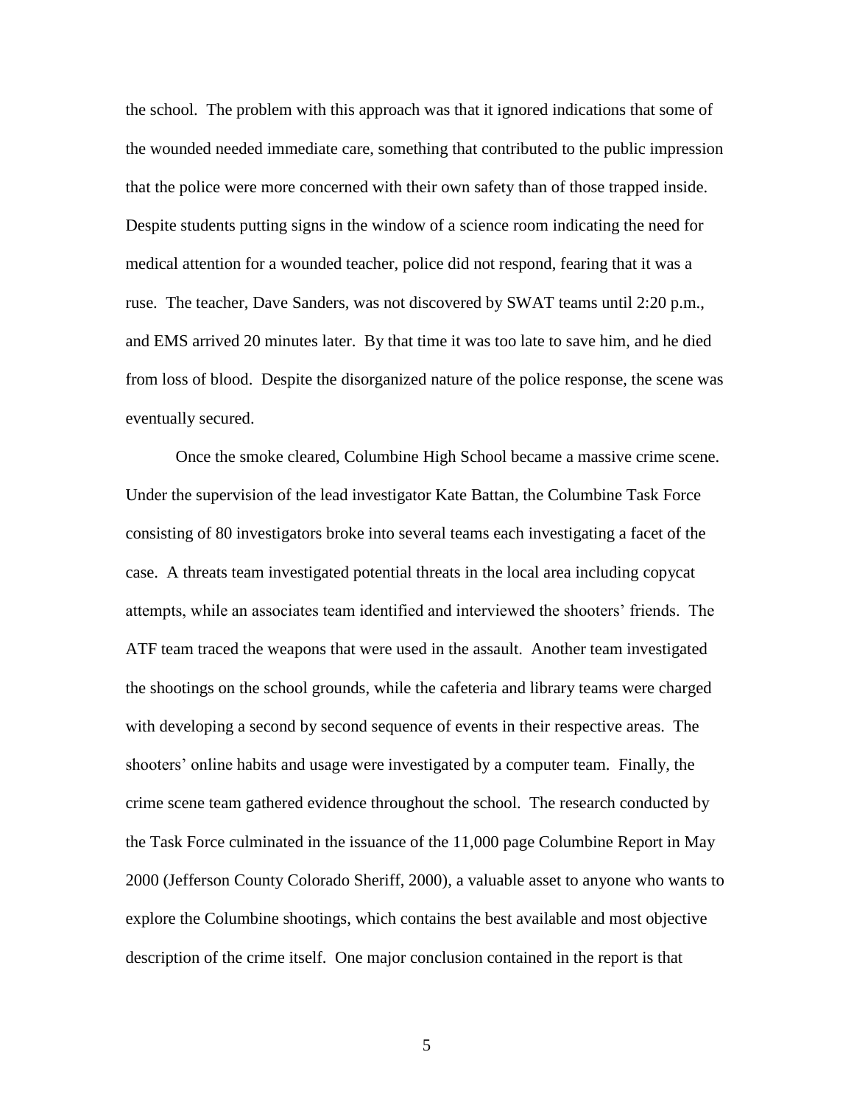the school. The problem with this approach was that it ignored indications that some of the wounded needed immediate care, something that contributed to the public impression that the police were more concerned with their own safety than of those trapped inside. Despite students putting signs in the window of a science room indicating the need for medical attention for a wounded teacher, police did not respond, fearing that it was a ruse. The teacher, Dave Sanders, was not discovered by SWAT teams until 2:20 p.m., and EMS arrived 20 minutes later. By that time it was too late to save him, and he died from loss of blood. Despite the disorganized nature of the police response, the scene was eventually secured.

Once the smoke cleared, Columbine High School became a massive crime scene. Under the supervision of the lead investigator Kate Battan, the Columbine Task Force consisting of 80 investigators broke into several teams each investigating a facet of the case. A threats team investigated potential threats in the local area including copycat attempts, while an associates team identified and interviewed the shooters' friends. The ATF team traced the weapons that were used in the assault. Another team investigated the shootings on the school grounds, while the cafeteria and library teams were charged with developing a second by second sequence of events in their respective areas. The shooters' online habits and usage were investigated by a computer team. Finally, the crime scene team gathered evidence throughout the school. The research conducted by the Task Force culminated in the issuance of the 11,000 page Columbine Report in May 2000 (Jefferson County Colorado Sheriff, 2000), a valuable asset to anyone who wants to explore the Columbine shootings, which contains the best available and most objective description of the crime itself. One major conclusion contained in the report is that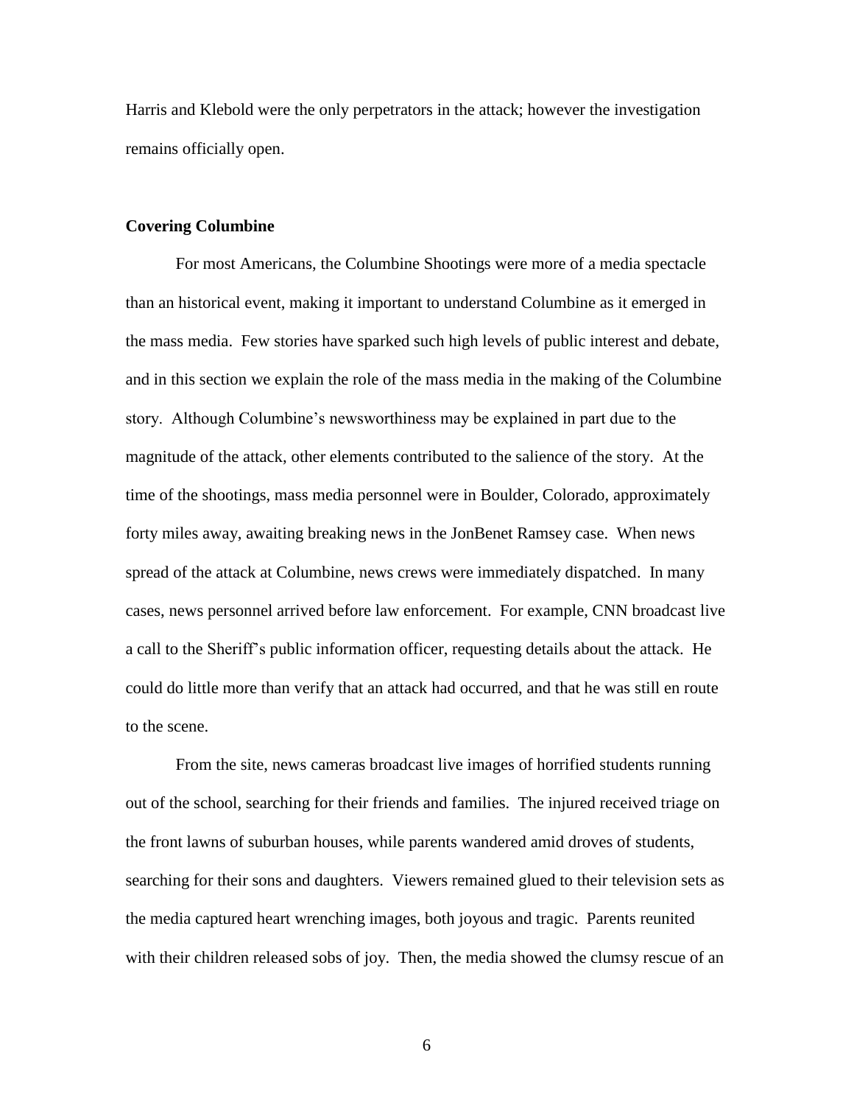Harris and Klebold were the only perpetrators in the attack; however the investigation remains officially open.

# **Covering Columbine**

For most Americans, the Columbine Shootings were more of a media spectacle than an historical event, making it important to understand Columbine as it emerged in the mass media. Few stories have sparked such high levels of public interest and debate, and in this section we explain the role of the mass media in the making of the Columbine story. Although Columbine's newsworthiness may be explained in part due to the magnitude of the attack, other elements contributed to the salience of the story. At the time of the shootings, mass media personnel were in Boulder, Colorado, approximately forty miles away, awaiting breaking news in the JonBenet Ramsey case. When news spread of the attack at Columbine, news crews were immediately dispatched. In many cases, news personnel arrived before law enforcement. For example, CNN broadcast live a call to the Sheriff's public information officer, requesting details about the attack. He could do little more than verify that an attack had occurred, and that he was still en route to the scene.

From the site, news cameras broadcast live images of horrified students running out of the school, searching for their friends and families. The injured received triage on the front lawns of suburban houses, while parents wandered amid droves of students, searching for their sons and daughters. Viewers remained glued to their television sets as the media captured heart wrenching images, both joyous and tragic. Parents reunited with their children released sobs of joy. Then, the media showed the clumsy rescue of an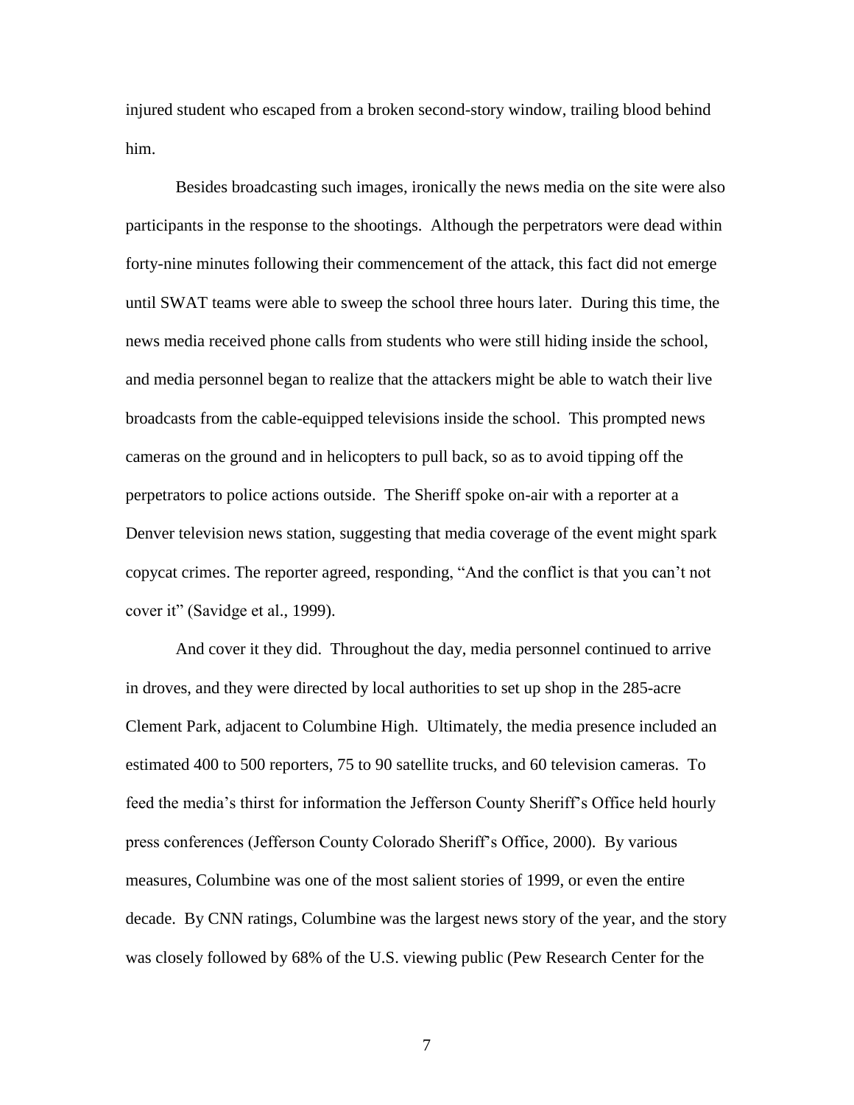injured student who escaped from a broken second-story window, trailing blood behind him.

Besides broadcasting such images, ironically the news media on the site were also participants in the response to the shootings. Although the perpetrators were dead within forty-nine minutes following their commencement of the attack, this fact did not emerge until SWAT teams were able to sweep the school three hours later. During this time, the news media received phone calls from students who were still hiding inside the school, and media personnel began to realize that the attackers might be able to watch their live broadcasts from the cable-equipped televisions inside the school. This prompted news cameras on the ground and in helicopters to pull back, so as to avoid tipping off the perpetrators to police actions outside. The Sheriff spoke on-air with a reporter at a Denver television news station, suggesting that media coverage of the event might spark copycat crimes. The reporter agreed, responding, "And the conflict is that you can't not cover it" (Savidge et al., 1999).

And cover it they did. Throughout the day, media personnel continued to arrive in droves, and they were directed by local authorities to set up shop in the 285-acre Clement Park, adjacent to Columbine High. Ultimately, the media presence included an estimated 400 to 500 reporters, 75 to 90 satellite trucks, and 60 television cameras. To feed the media's thirst for information the Jefferson County Sheriff's Office held hourly press conferences (Jefferson County Colorado Sheriff's Office, 2000). By various measures, Columbine was one of the most salient stories of 1999, or even the entire decade. By CNN ratings, Columbine was the largest news story of the year, and the story was closely followed by 68% of the U.S. viewing public (Pew Research Center for the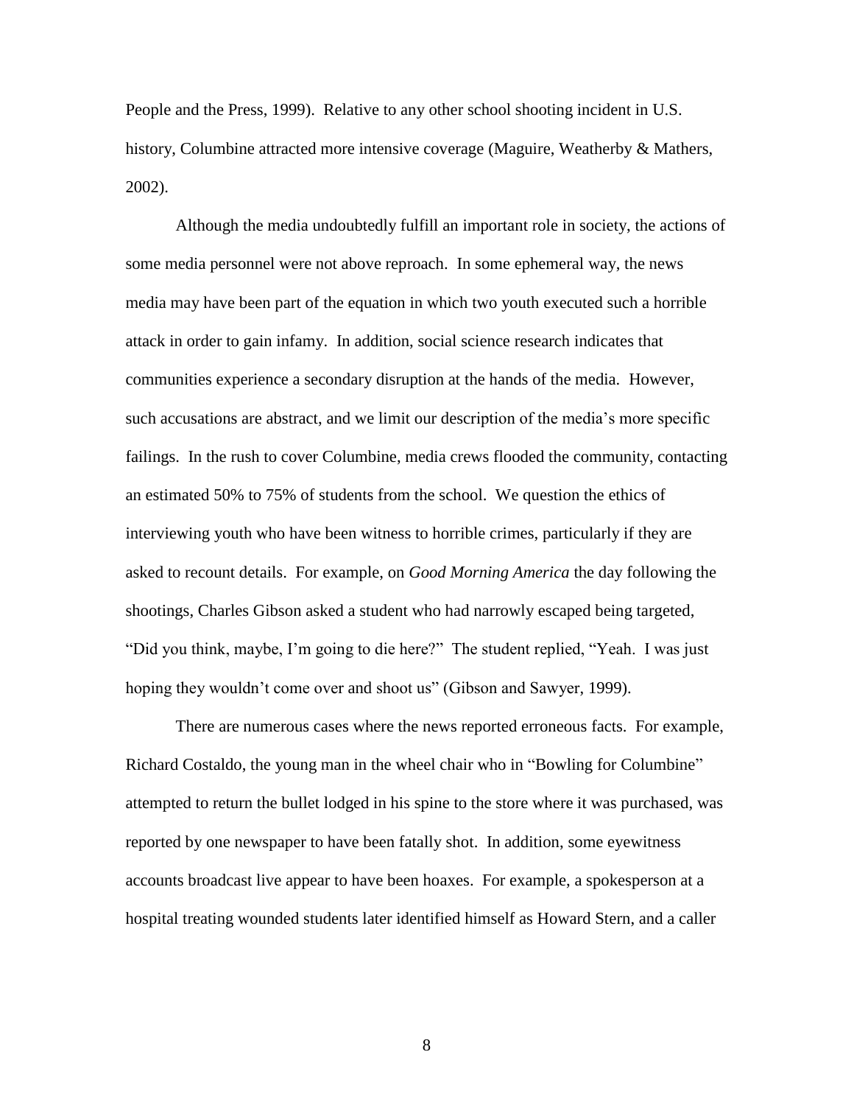People and the Press, 1999). Relative to any other school shooting incident in U.S. history, Columbine attracted more intensive coverage (Maguire, Weatherby & Mathers, 2002).

Although the media undoubtedly fulfill an important role in society, the actions of some media personnel were not above reproach. In some ephemeral way, the news media may have been part of the equation in which two youth executed such a horrible attack in order to gain infamy. In addition, social science research indicates that communities experience a secondary disruption at the hands of the media. However, such accusations are abstract, and we limit our description of the media's more specific failings. In the rush to cover Columbine, media crews flooded the community, contacting an estimated 50% to 75% of students from the school. We question the ethics of interviewing youth who have been witness to horrible crimes, particularly if they are asked to recount details. For example, on *Good Morning America* the day following the shootings, Charles Gibson asked a student who had narrowly escaped being targeted, "Did you think, maybe, I'm going to die here?" The student replied, "Yeah. I was just hoping they wouldn't come over and shoot us" (Gibson and Sawyer, 1999).

There are numerous cases where the news reported erroneous facts. For example, Richard Costaldo, the young man in the wheel chair who in "Bowling for Columbine" attempted to return the bullet lodged in his spine to the store where it was purchased, was reported by one newspaper to have been fatally shot. In addition, some eyewitness accounts broadcast live appear to have been hoaxes. For example, a spokesperson at a hospital treating wounded students later identified himself as Howard Stern, and a caller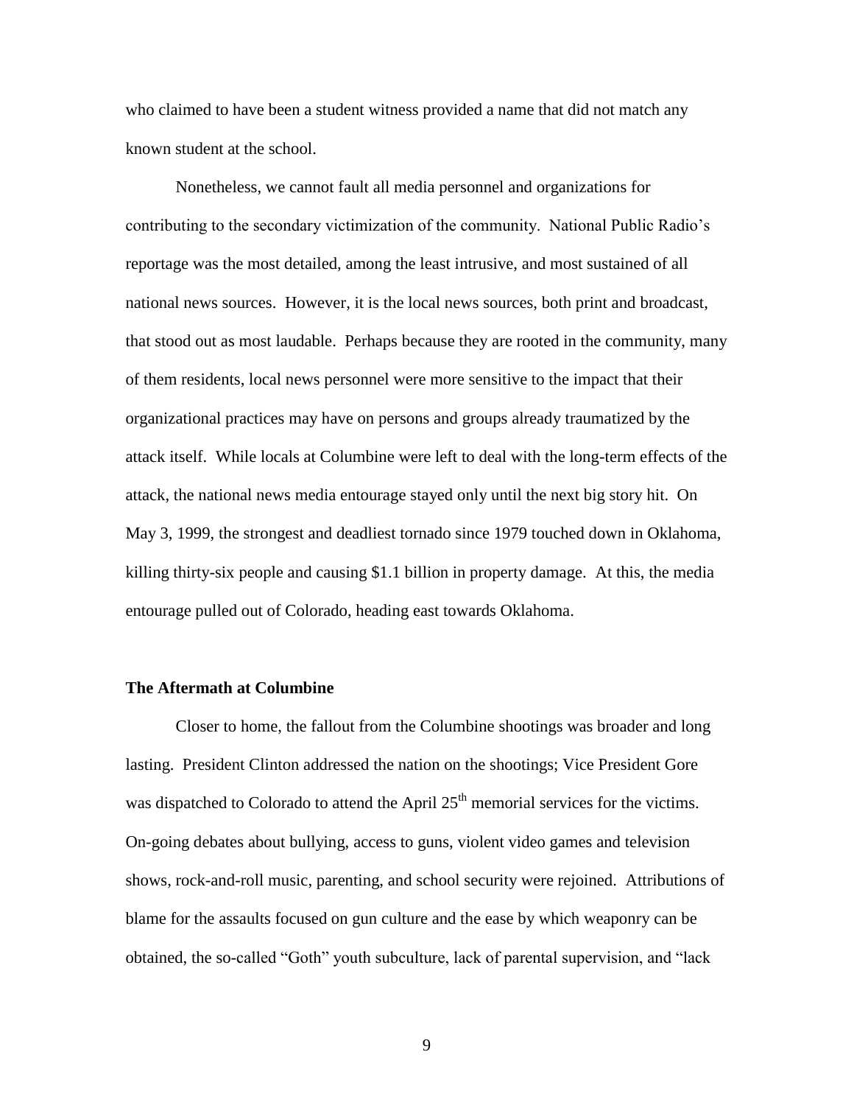who claimed to have been a student witness provided a name that did not match any known student at the school.

Nonetheless, we cannot fault all media personnel and organizations for contributing to the secondary victimization of the community. National Public Radio's reportage was the most detailed, among the least intrusive, and most sustained of all national news sources. However, it is the local news sources, both print and broadcast, that stood out as most laudable. Perhaps because they are rooted in the community, many of them residents, local news personnel were more sensitive to the impact that their organizational practices may have on persons and groups already traumatized by the attack itself. While locals at Columbine were left to deal with the long-term effects of the attack, the national news media entourage stayed only until the next big story hit. On May 3, 1999, the strongest and deadliest tornado since 1979 touched down in Oklahoma, killing thirty-six people and causing \$1.1 billion in property damage. At this, the media entourage pulled out of Colorado, heading east towards Oklahoma.

# **The Aftermath at Columbine**

Closer to home, the fallout from the Columbine shootings was broader and long lasting. President Clinton addressed the nation on the shootings; Vice President Gore was dispatched to Colorado to attend the April  $25<sup>th</sup>$  memorial services for the victims. On-going debates about bullying, access to guns, violent video games and television shows, rock-and-roll music, parenting, and school security were rejoined. Attributions of blame for the assaults focused on gun culture and the ease by which weaponry can be obtained, the so-called "Goth" youth subculture, lack of parental supervision, and "lack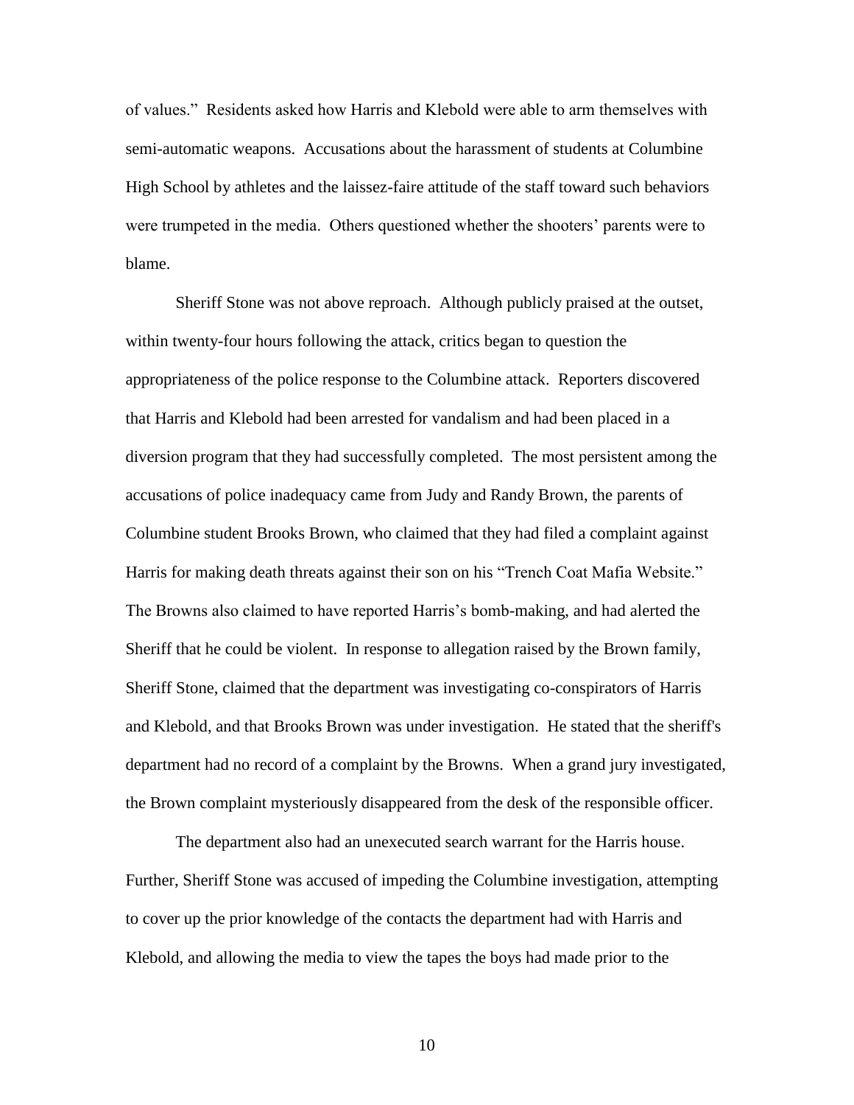of values." Residents asked how Harris and Klebold were able to arm themselves with semi-automatic weapons. Accusations about the harassment of students at Columbine High School by athletes and the laissez-faire attitude of the staff toward such behaviors were trumpeted in the media. Others questioned whether the shooters' parents were to blame.

Sheriff Stone was not above reproach. Although publicly praised at the outset, within twenty-four hours following the attack, critics began to question the appropriateness of the police response to the Columbine attack. Reporters discovered that Harris and Klebold had been arrested for vandalism and had been placed in a diversion program that they had successfully completed. The most persistent among the accusations of police inadequacy came from Judy and Randy Brown, the parents of Columbine student Brooks Brown, who claimed that they had filed a complaint against Harris for making death threats against their son on his "Trench Coat Mafia Website." The Browns also claimed to have reported Harris's bomb-making, and had alerted the Sheriff that he could be violent. In response to allegation raised by the Brown family, Sheriff Stone, claimed that the department was investigating co-conspirators of Harris and Klebold, and that Brooks Brown was under investigation. He stated that the sheriff's department had no record of a complaint by the Browns. When a grand jury investigated, the Brown complaint mysteriously disappeared from the desk of the responsible officer.

The department also had an unexecuted search warrant for the Harris house. Further, Sheriff Stone was accused of impeding the Columbine investigation, attempting to cover up the prior knowledge of the contacts the department had with Harris and Klebold, and allowing the media to view the tapes the boys had made prior to the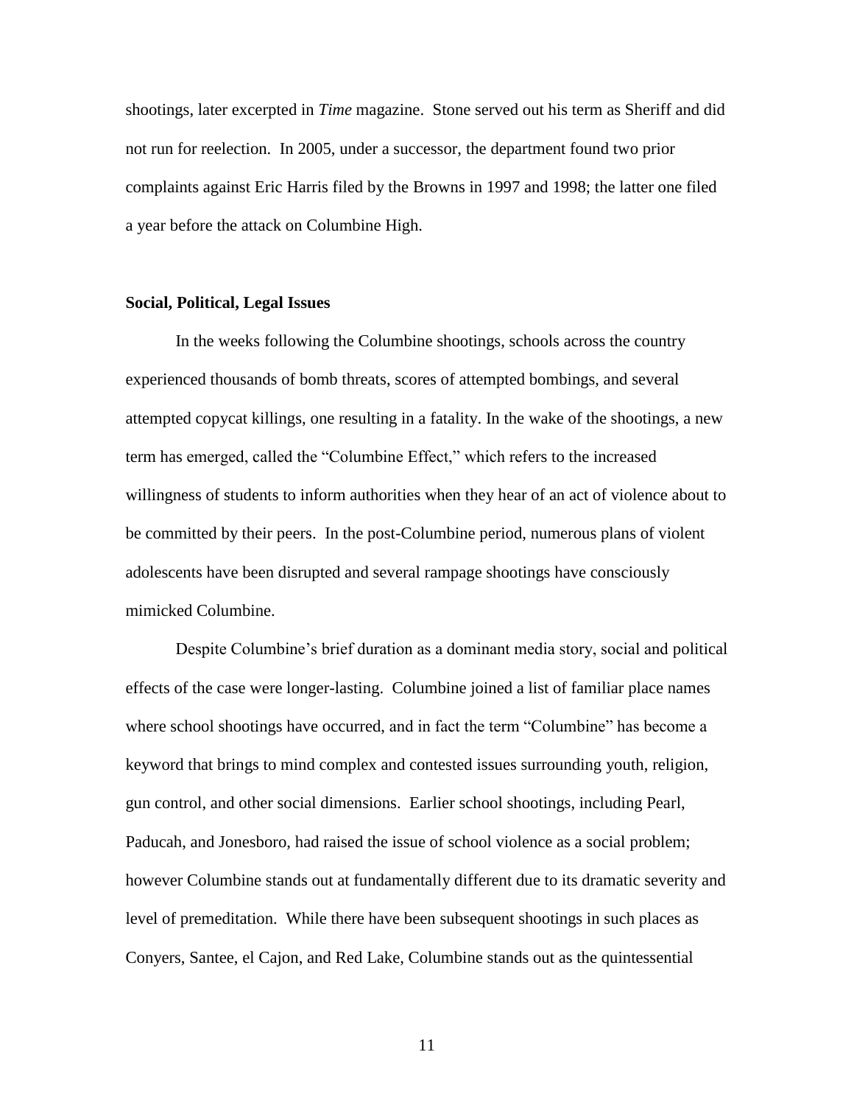shootings, later excerpted in *Time* magazine. Stone served out his term as Sheriff and did not run for reelection. In 2005, under a successor, the department found two prior complaints against Eric Harris filed by the Browns in 1997 and 1998; the latter one filed a year before the attack on Columbine High.

# **Social, Political, Legal Issues**

In the weeks following the Columbine shootings, schools across the country experienced thousands of bomb threats, scores of attempted bombings, and several attempted copycat killings, one resulting in a fatality. In the wake of the shootings, a new term has emerged, called the "Columbine Effect," which refers to the increased willingness of students to inform authorities when they hear of an act of violence about to be committed by their peers. In the post-Columbine period, numerous plans of violent adolescents have been disrupted and several rampage shootings have consciously mimicked Columbine.

Despite Columbine's brief duration as a dominant media story, social and political effects of the case were longer-lasting. Columbine joined a list of familiar place names where school shootings have occurred, and in fact the term "Columbine" has become a keyword that brings to mind complex and contested issues surrounding youth, religion, gun control, and other social dimensions. Earlier school shootings, including Pearl, Paducah, and Jonesboro, had raised the issue of school violence as a social problem; however Columbine stands out at fundamentally different due to its dramatic severity and level of premeditation. While there have been subsequent shootings in such places as Conyers, Santee, el Cajon, and Red Lake, Columbine stands out as the quintessential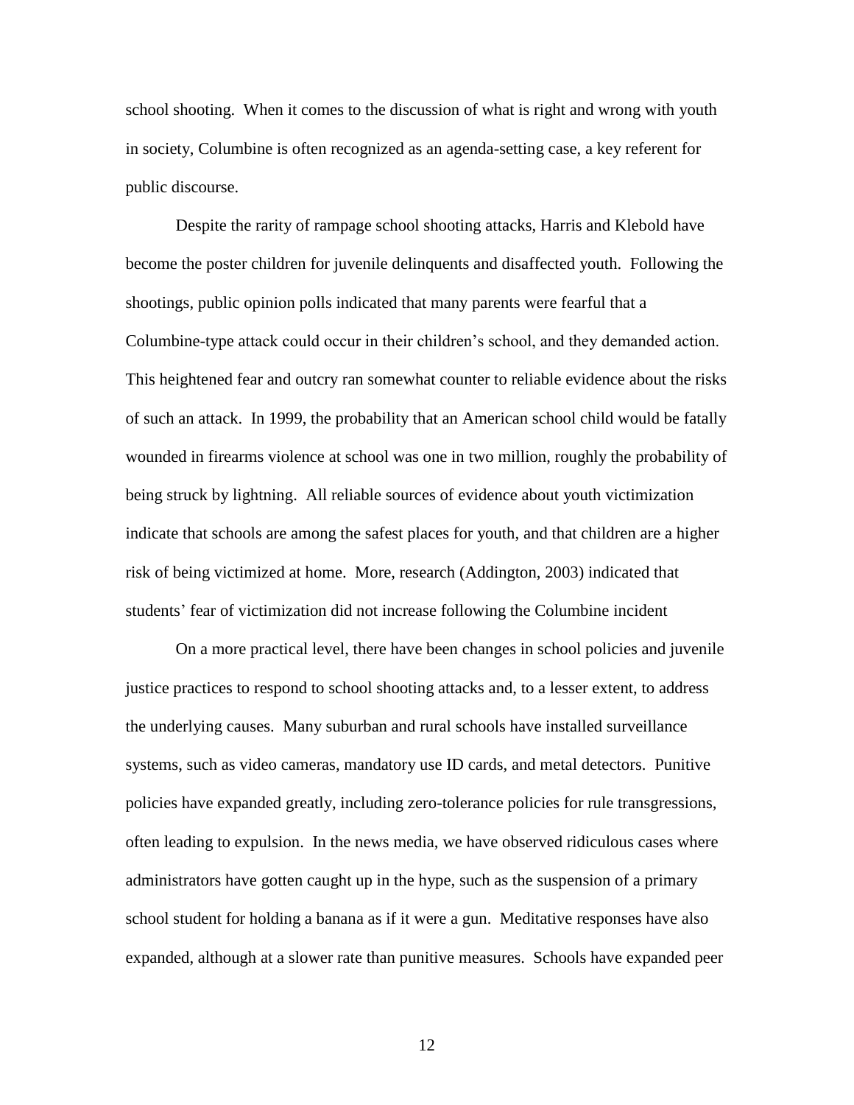school shooting. When it comes to the discussion of what is right and wrong with youth in society, Columbine is often recognized as an agenda-setting case, a key referent for public discourse.

Despite the rarity of rampage school shooting attacks, Harris and Klebold have become the poster children for juvenile delinquents and disaffected youth. Following the shootings, public opinion polls indicated that many parents were fearful that a Columbine-type attack could occur in their children's school, and they demanded action. This heightened fear and outcry ran somewhat counter to reliable evidence about the risks of such an attack. In 1999, the probability that an American school child would be fatally wounded in firearms violence at school was one in two million, roughly the probability of being struck by lightning. All reliable sources of evidence about youth victimization indicate that schools are among the safest places for youth, and that children are a higher risk of being victimized at home. More, research (Addington, 2003) indicated that students' fear of victimization did not increase following the Columbine incident

On a more practical level, there have been changes in school policies and juvenile justice practices to respond to school shooting attacks and, to a lesser extent, to address the underlying causes. Many suburban and rural schools have installed surveillance systems, such as video cameras, mandatory use ID cards, and metal detectors. Punitive policies have expanded greatly, including zero-tolerance policies for rule transgressions, often leading to expulsion. In the news media, we have observed ridiculous cases where administrators have gotten caught up in the hype, such as the suspension of a primary school student for holding a banana as if it were a gun. Meditative responses have also expanded, although at a slower rate than punitive measures. Schools have expanded peer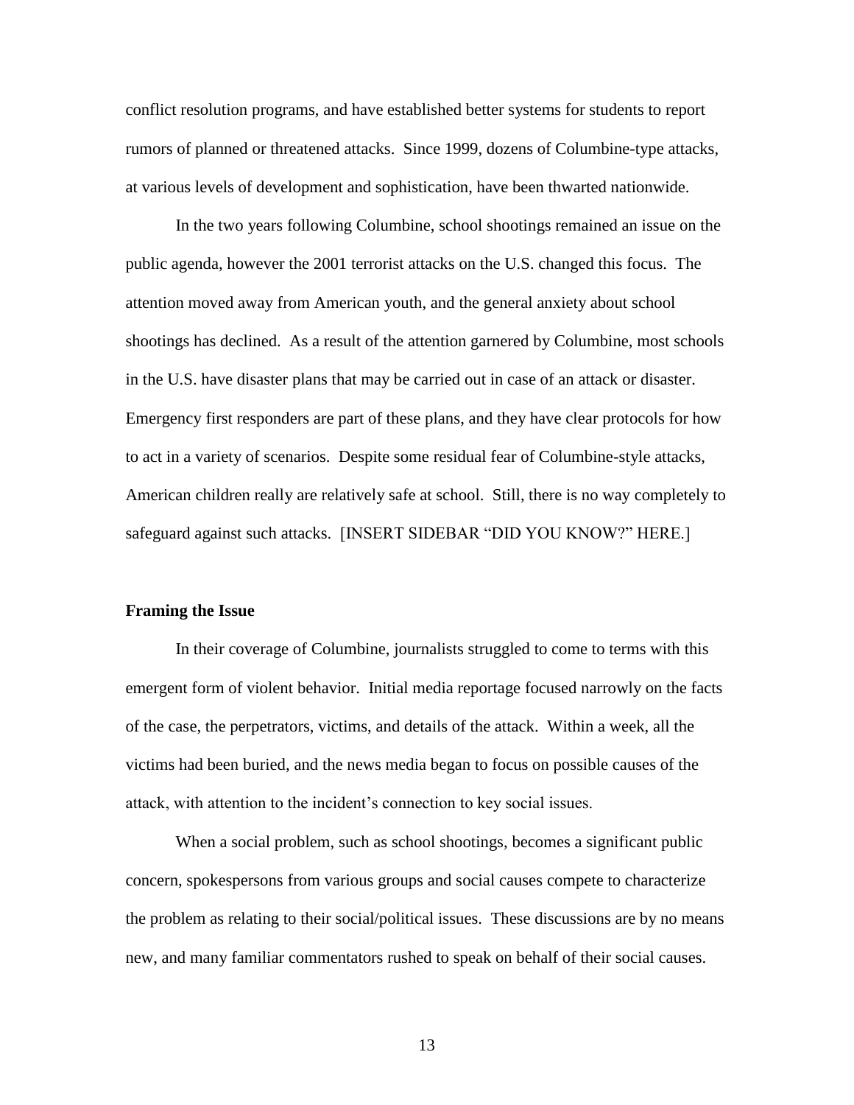conflict resolution programs, and have established better systems for students to report rumors of planned or threatened attacks. Since 1999, dozens of Columbine-type attacks, at various levels of development and sophistication, have been thwarted nationwide.

In the two years following Columbine, school shootings remained an issue on the public agenda, however the 2001 terrorist attacks on the U.S. changed this focus. The attention moved away from American youth, and the general anxiety about school shootings has declined. As a result of the attention garnered by Columbine, most schools in the U.S. have disaster plans that may be carried out in case of an attack or disaster. Emergency first responders are part of these plans, and they have clear protocols for how to act in a variety of scenarios. Despite some residual fear of Columbine-style attacks, American children really are relatively safe at school. Still, there is no way completely to safeguard against such attacks. [INSERT SIDEBAR "DID YOU KNOW?" HERE.]

#### **Framing the Issue**

In their coverage of Columbine, journalists struggled to come to terms with this emergent form of violent behavior. Initial media reportage focused narrowly on the facts of the case, the perpetrators, victims, and details of the attack. Within a week, all the victims had been buried, and the news media began to focus on possible causes of the attack, with attention to the incident's connection to key social issues.

When a social problem, such as school shootings, becomes a significant public concern, spokespersons from various groups and social causes compete to characterize the problem as relating to their social/political issues. These discussions are by no means new, and many familiar commentators rushed to speak on behalf of their social causes.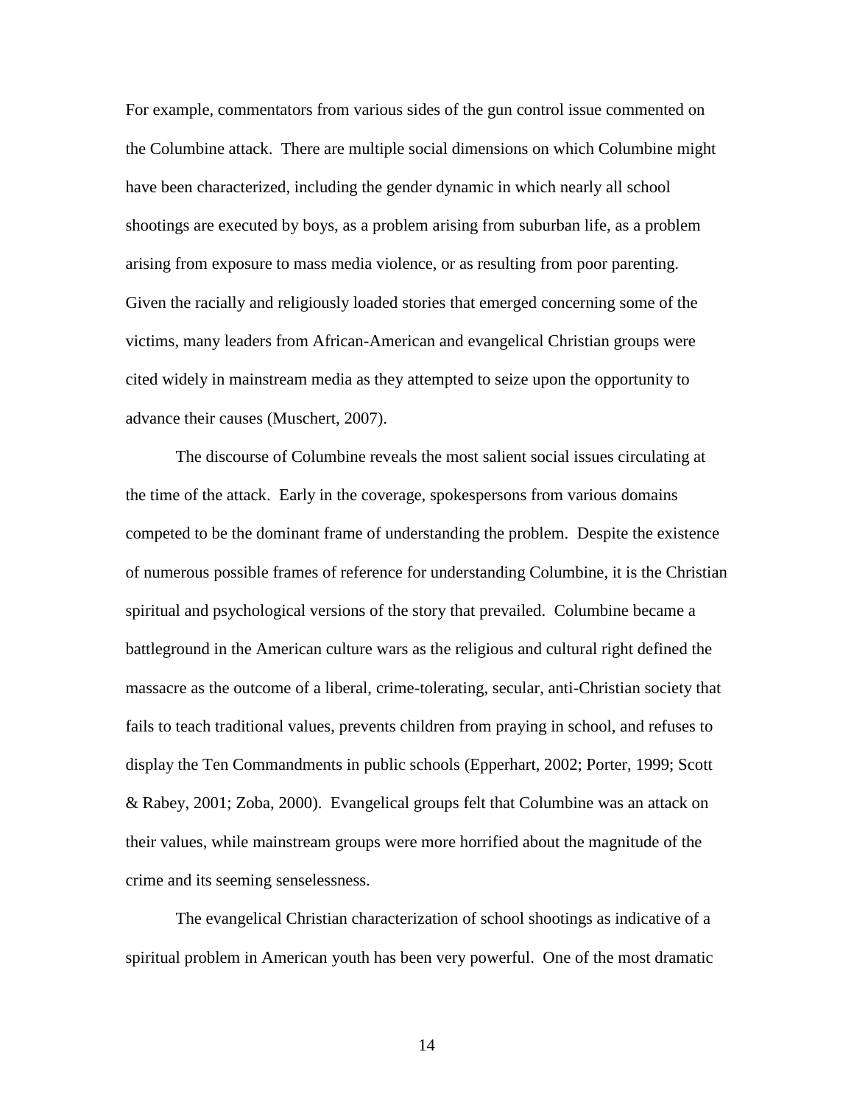For example, commentators from various sides of the gun control issue commented on the Columbine attack. There are multiple social dimensions on which Columbine might have been characterized, including the gender dynamic in which nearly all school shootings are executed by boys, as a problem arising from suburban life, as a problem arising from exposure to mass media violence, or as resulting from poor parenting. Given the racially and religiously loaded stories that emerged concerning some of the victims, many leaders from African-American and evangelical Christian groups were cited widely in mainstream media as they attempted to seize upon the opportunity to advance their causes (Muschert, 2007).

The discourse of Columbine reveals the most salient social issues circulating at the time of the attack. Early in the coverage, spokespersons from various domains competed to be the dominant frame of understanding the problem. Despite the existence of numerous possible frames of reference for understanding Columbine, it is the Christian spiritual and psychological versions of the story that prevailed. Columbine became a battleground in the American culture wars as the religious and cultural right defined the massacre as the outcome of a liberal, crime-tolerating, secular, anti-Christian society that fails to teach traditional values, prevents children from praying in school, and refuses to display the Ten Commandments in public schools (Epperhart, 2002; Porter, 1999; Scott & Rabey, 2001; Zoba, 2000). Evangelical groups felt that Columbine was an attack on their values, while mainstream groups were more horrified about the magnitude of the crime and its seeming senselessness.

The evangelical Christian characterization of school shootings as indicative of a spiritual problem in American youth has been very powerful. One of the most dramatic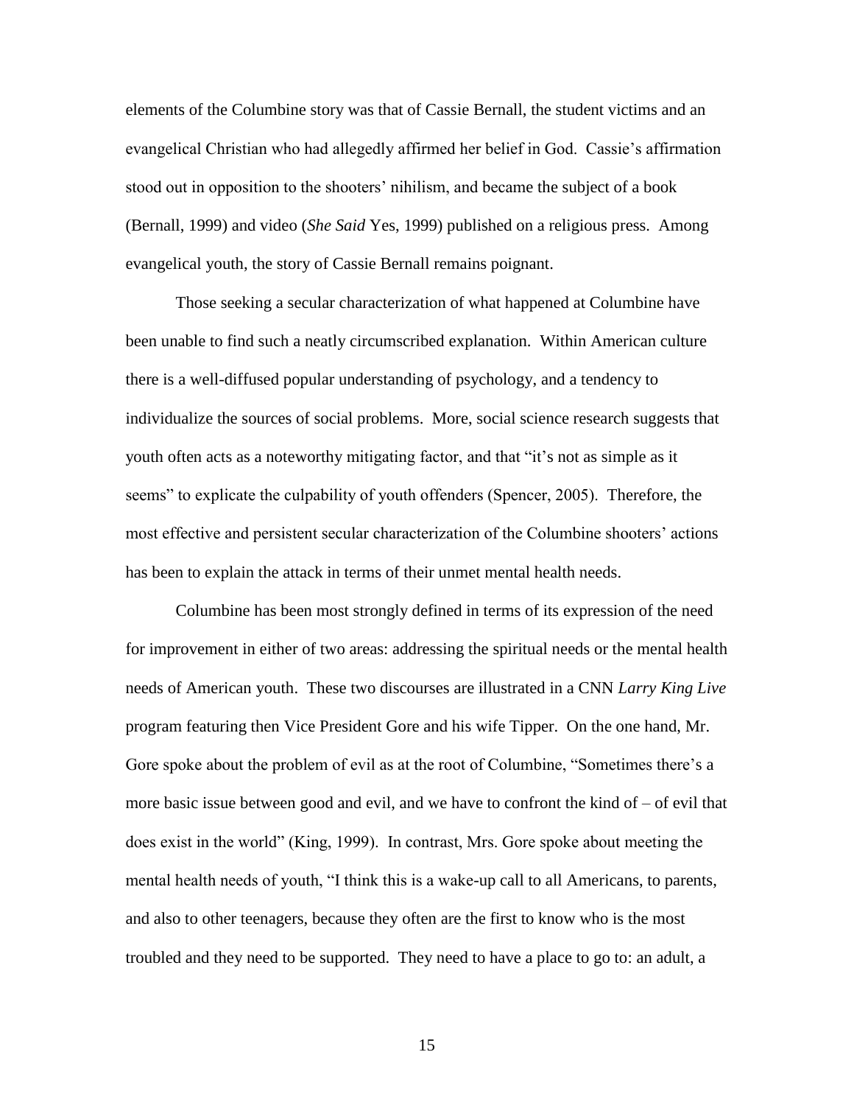elements of the Columbine story was that of Cassie Bernall, the student victims and an evangelical Christian who had allegedly affirmed her belief in God. Cassie's affirmation stood out in opposition to the shooters' nihilism, and became the subject of a book (Bernall, 1999) and video (*She Said* Yes, 1999) published on a religious press. Among evangelical youth, the story of Cassie Bernall remains poignant.

Those seeking a secular characterization of what happened at Columbine have been unable to find such a neatly circumscribed explanation. Within American culture there is a well-diffused popular understanding of psychology, and a tendency to individualize the sources of social problems. More, social science research suggests that youth often acts as a noteworthy mitigating factor, and that "it's not as simple as it seems" to explicate the culpability of youth offenders (Spencer, 2005). Therefore, the most effective and persistent secular characterization of the Columbine shooters' actions has been to explain the attack in terms of their unmet mental health needs.

Columbine has been most strongly defined in terms of its expression of the need for improvement in either of two areas: addressing the spiritual needs or the mental health needs of American youth. These two discourses are illustrated in a CNN *Larry King Live*  program featuring then Vice President Gore and his wife Tipper. On the one hand, Mr. Gore spoke about the problem of evil as at the root of Columbine, "Sometimes there's a more basic issue between good and evil, and we have to confront the kind of  $-$  of evil that does exist in the world" (King, 1999). In contrast, Mrs. Gore spoke about meeting the mental health needs of youth, "I think this is a wake-up call to all Americans, to parents, and also to other teenagers, because they often are the first to know who is the most troubled and they need to be supported. They need to have a place to go to: an adult, a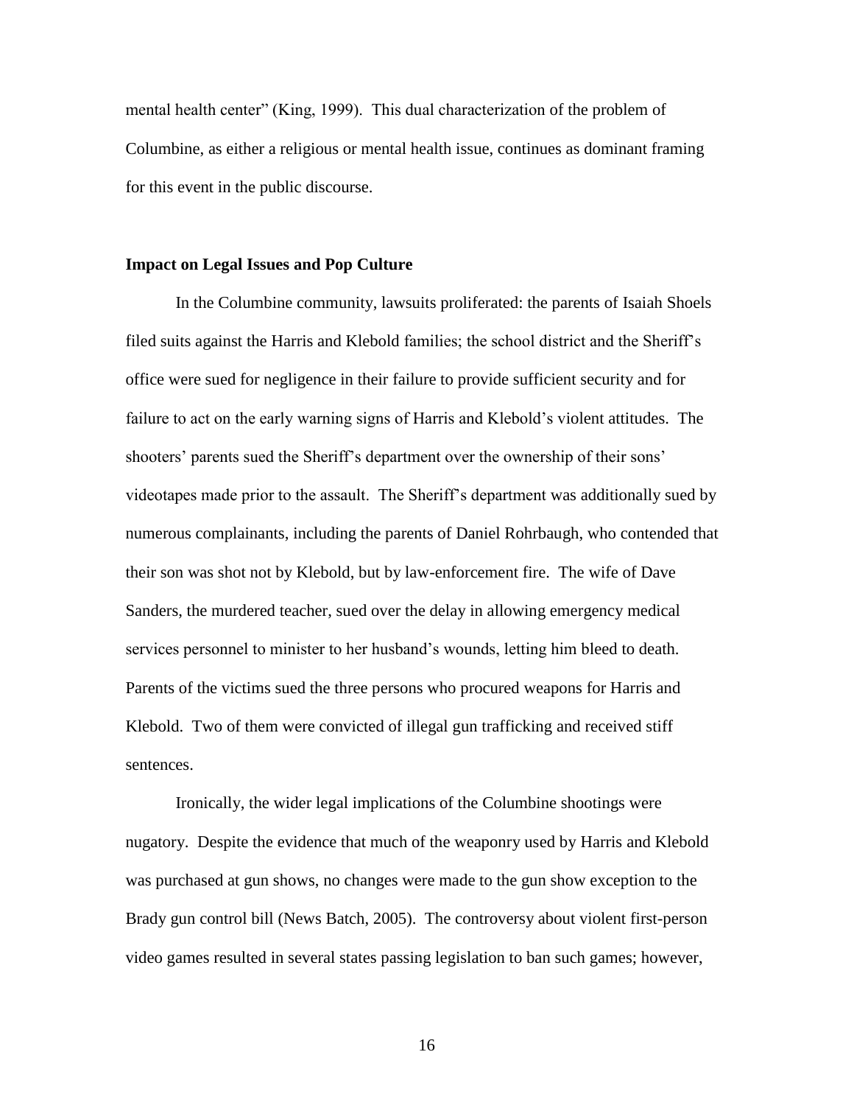mental health center" (King, 1999). This dual characterization of the problem of Columbine, as either a religious or mental health issue, continues as dominant framing for this event in the public discourse.

# **Impact on Legal Issues and Pop Culture**

In the Columbine community, lawsuits proliferated: the parents of Isaiah Shoels filed suits against the Harris and Klebold families; the school district and the Sheriff's office were sued for negligence in their failure to provide sufficient security and for failure to act on the early warning signs of Harris and Klebold's violent attitudes. The shooters' parents sued the Sheriff's department over the ownership of their sons' videotapes made prior to the assault. The Sheriff's department was additionally sued by numerous complainants, including the parents of Daniel Rohrbaugh, who contended that their son was shot not by Klebold, but by law-enforcement fire. The wife of Dave Sanders, the murdered teacher, sued over the delay in allowing emergency medical services personnel to minister to her husband's wounds, letting him bleed to death. Parents of the victims sued the three persons who procured weapons for Harris and Klebold. Two of them were convicted of illegal gun trafficking and received stiff sentences.

Ironically, the wider legal implications of the Columbine shootings were nugatory. Despite the evidence that much of the weaponry used by Harris and Klebold was purchased at gun shows, no changes were made to the gun show exception to the Brady gun control bill (News Batch, 2005). The controversy about violent first-person video games resulted in several states passing legislation to ban such games; however,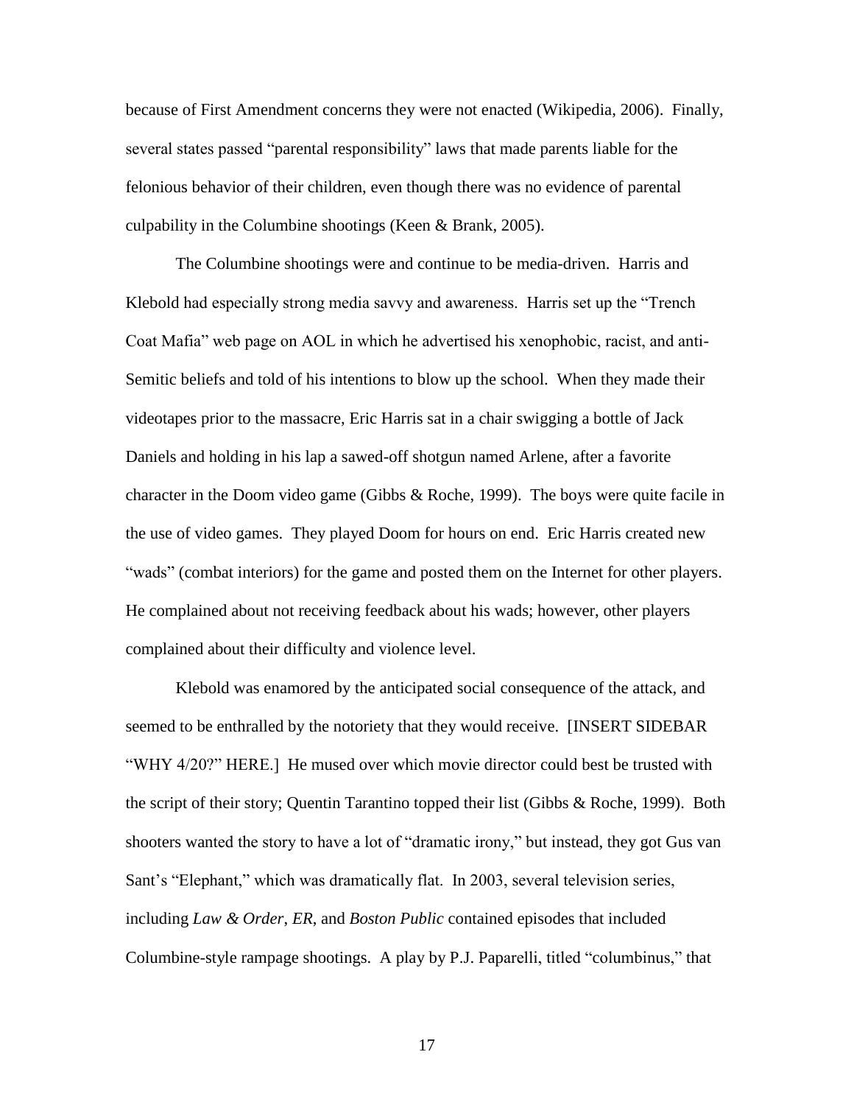because of First Amendment concerns they were not enacted (Wikipedia, 2006). Finally, several states passed "parental responsibility" laws that made parents liable for the felonious behavior of their children, even though there was no evidence of parental culpability in the Columbine shootings (Keen & Brank, 2005).

The Columbine shootings were and continue to be media-driven. Harris and Klebold had especially strong media savvy and awareness. Harris set up the "Trench Coat Mafia" web page on AOL in which he advertised his xenophobic, racist, and anti-Semitic beliefs and told of his intentions to blow up the school. When they made their videotapes prior to the massacre, Eric Harris sat in a chair swigging a bottle of Jack Daniels and holding in his lap a sawed-off shotgun named Arlene, after a favorite character in the Doom video game (Gibbs & Roche, 1999). The boys were quite facile in the use of video games. They played Doom for hours on end. Eric Harris created new "wads" (combat interiors) for the game and posted them on the Internet for other players. He complained about not receiving feedback about his wads; however, other players complained about their difficulty and violence level.

Klebold was enamored by the anticipated social consequence of the attack, and seemed to be enthralled by the notoriety that they would receive. [INSERT SIDEBAR "WHY 4/20?" HERE.] He mused over which movie director could best be trusted with the script of their story; Quentin Tarantino topped their list (Gibbs & Roche, 1999). Both shooters wanted the story to have a lot of "dramatic irony," but instead, they got Gus van Sant's "Elephant," which was dramatically flat. In 2003, several television series, including *Law & Order*, *ER*, and *Boston Public* contained episodes that included Columbine-style rampage shootings. A play by P.J. Paparelli, titled "columbinus," that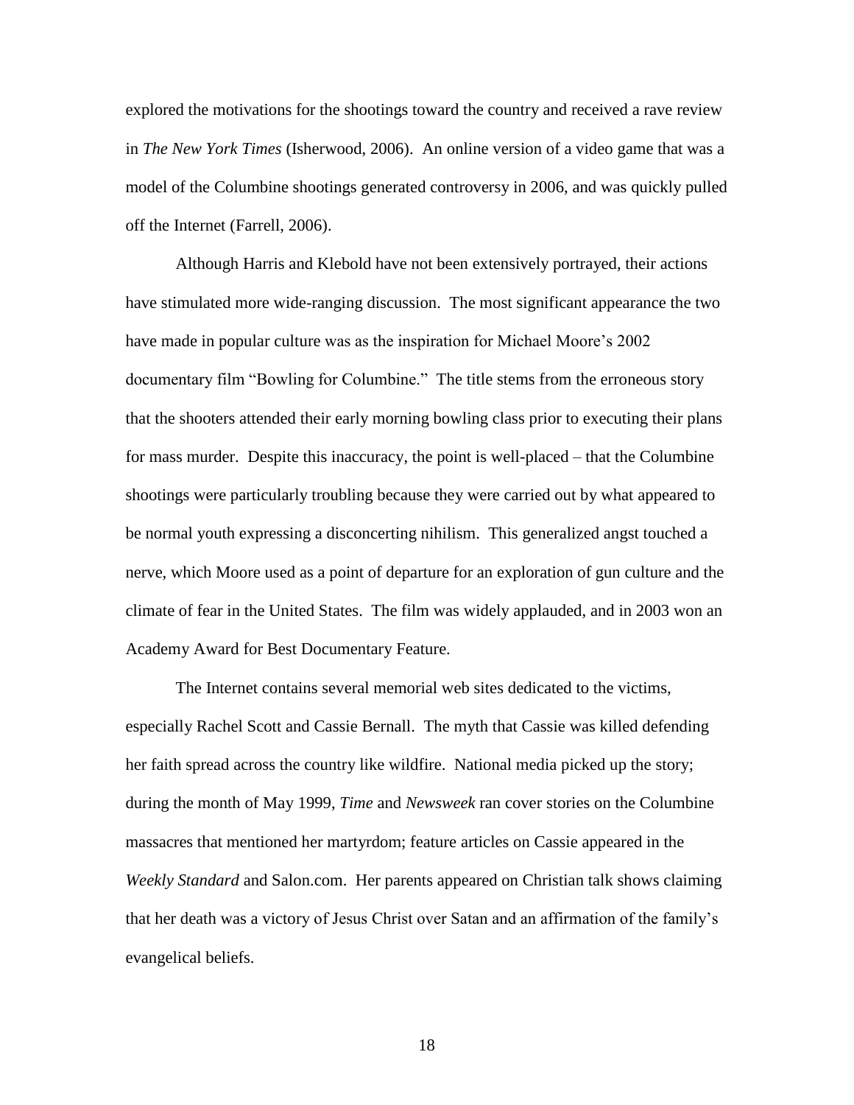explored the motivations for the shootings toward the country and received a rave review in *The New York Times* (Isherwood, 2006). An online version of a video game that was a model of the Columbine shootings generated controversy in 2006, and was quickly pulled off the Internet (Farrell, 2006).

Although Harris and Klebold have not been extensively portrayed, their actions have stimulated more wide-ranging discussion. The most significant appearance the two have made in popular culture was as the inspiration for Michael Moore's 2002 documentary film "Bowling for Columbine." The title stems from the erroneous story that the shooters attended their early morning bowling class prior to executing their plans for mass murder. Despite this inaccuracy, the point is well-placed – that the Columbine shootings were particularly troubling because they were carried out by what appeared to be normal youth expressing a disconcerting nihilism. This generalized angst touched a nerve, which Moore used as a point of departure for an exploration of gun culture and the climate of fear in the United States. The film was widely applauded, and in 2003 won an Academy Award for Best Documentary Feature.

The Internet contains several memorial web sites dedicated to the victims, especially Rachel Scott and Cassie Bernall. The myth that Cassie was killed defending her faith spread across the country like wildfire. National media picked up the story; during the month of May 1999, *Time* and *Newsweek* ran cover stories on the Columbine massacres that mentioned her martyrdom; feature articles on Cassie appeared in the *Weekly Standard* and Salon.com. Her parents appeared on Christian talk shows claiming that her death was a victory of Jesus Christ over Satan and an affirmation of the family's evangelical beliefs.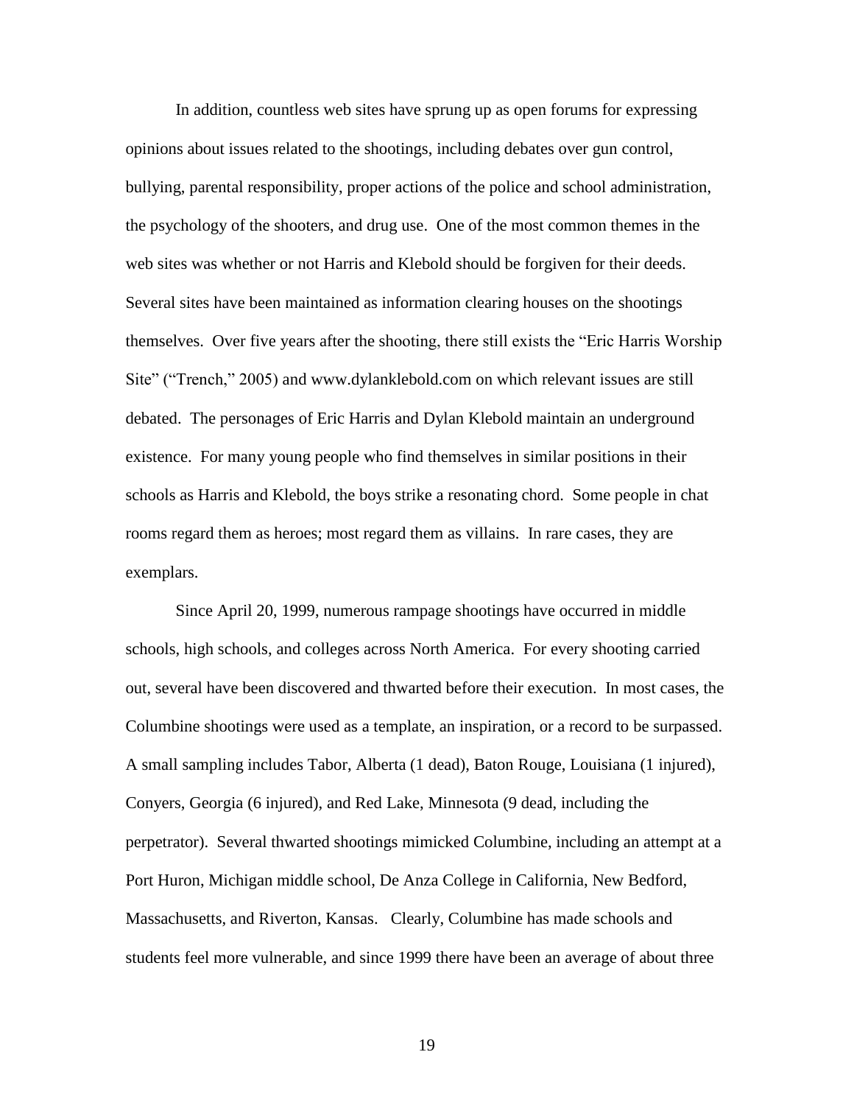In addition, countless web sites have sprung up as open forums for expressing opinions about issues related to the shootings, including debates over gun control, bullying, parental responsibility, proper actions of the police and school administration, the psychology of the shooters, and drug use. One of the most common themes in the web sites was whether or not Harris and Klebold should be forgiven for their deeds. Several sites have been maintained as information clearing houses on the shootings themselves. Over five years after the shooting, there still exists the "Eric Harris Worship Site" ("Trench," 2005) and www.dylanklebold.com on which relevant issues are still debated. The personages of Eric Harris and Dylan Klebold maintain an underground existence. For many young people who find themselves in similar positions in their schools as Harris and Klebold, the boys strike a resonating chord. Some people in chat rooms regard them as heroes; most regard them as villains. In rare cases, they are exemplars.

Since April 20, 1999, numerous rampage shootings have occurred in middle schools, high schools, and colleges across North America. For every shooting carried out, several have been discovered and thwarted before their execution. In most cases, the Columbine shootings were used as a template, an inspiration, or a record to be surpassed. A small sampling includes Tabor, Alberta (1 dead), Baton Rouge, Louisiana (1 injured), Conyers, Georgia (6 injured), and Red Lake, Minnesota (9 dead, including the perpetrator). Several thwarted shootings mimicked Columbine, including an attempt at a Port Huron, Michigan middle school, De Anza College in California, New Bedford, Massachusetts, and Riverton, Kansas. Clearly, Columbine has made schools and students feel more vulnerable, and since 1999 there have been an average of about three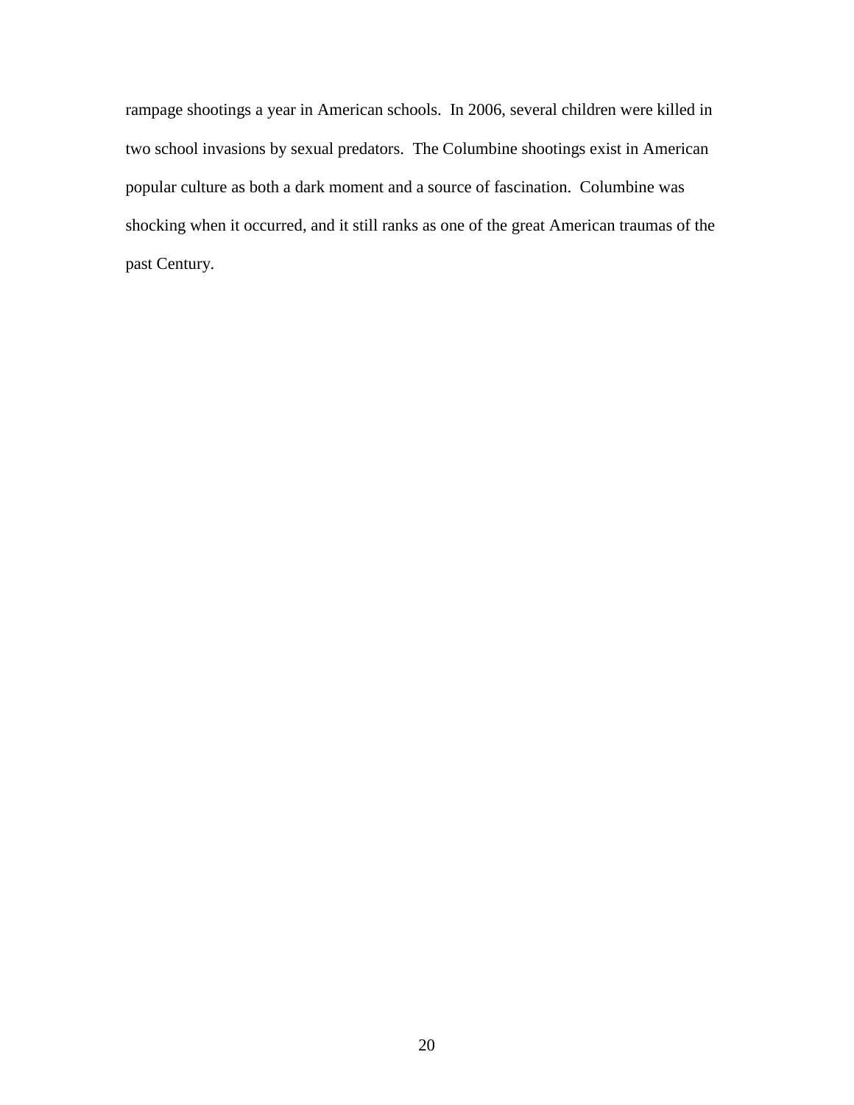rampage shootings a year in American schools. In 2006, several children were killed in two school invasions by sexual predators. The Columbine shootings exist in American popular culture as both a dark moment and a source of fascination. Columbine was shocking when it occurred, and it still ranks as one of the great American traumas of the past Century.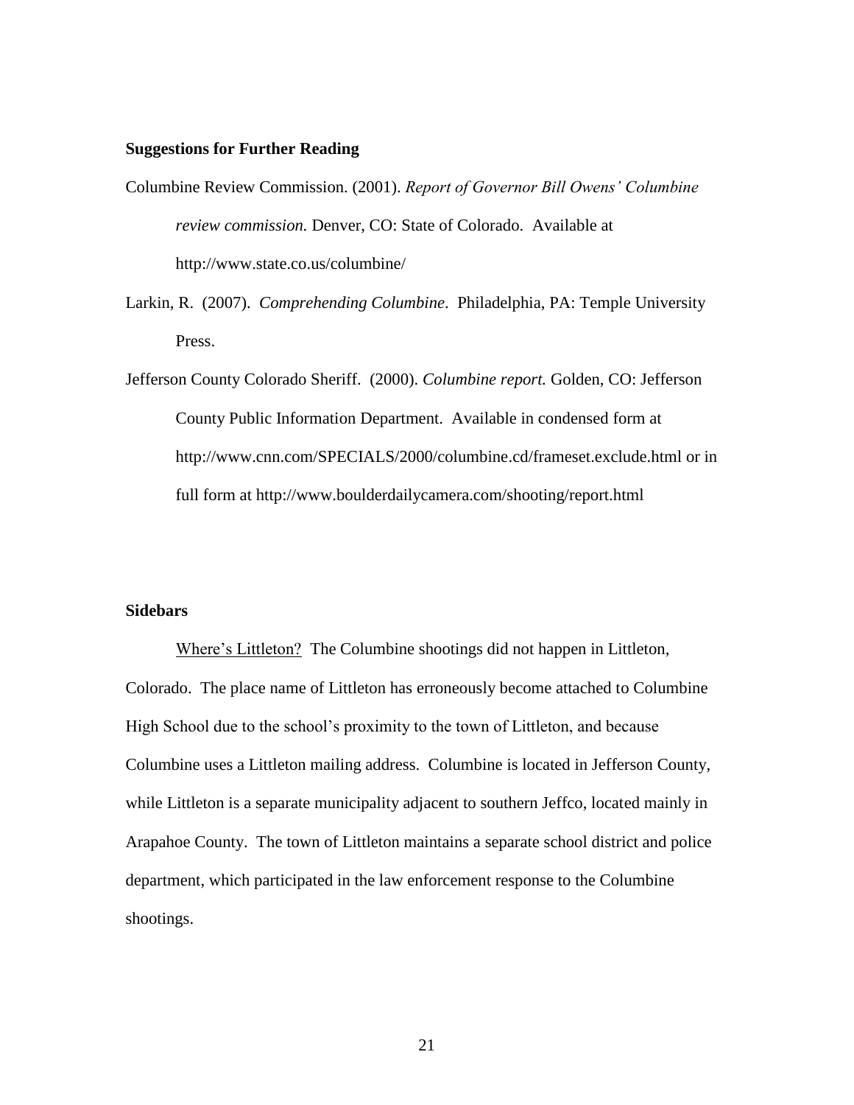# **Suggestions for Further Reading**

- Columbine Review Commission. (2001). *Report of Governor Bill Owens' Columbine review commission.* Denver, CO: State of Colorado. Available at http://www.state.co.us/columbine/
- Larkin, R. (2007). *Comprehending Columbine*. Philadelphia, PA: Temple University Press.
- Jefferson County Colorado Sheriff. (2000). *Columbine report.* Golden, CO: Jefferson County Public Information Department. Available in condensed form at http://www.cnn.com/SPECIALS/2000/columbine.cd/frameset.exclude.html or in full form at http://www.boulderdailycamera.com/shooting/report.html

## **Sidebars**

Where's Littleton? The Columbine shootings did not happen in Littleton, Colorado. The place name of Littleton has erroneously become attached to Columbine High School due to the school's proximity to the town of Littleton, and because Columbine uses a Littleton mailing address. Columbine is located in Jefferson County, while Littleton is a separate municipality adjacent to southern Jeffco, located mainly in Arapahoe County. The town of Littleton maintains a separate school district and police department, which participated in the law enforcement response to the Columbine shootings.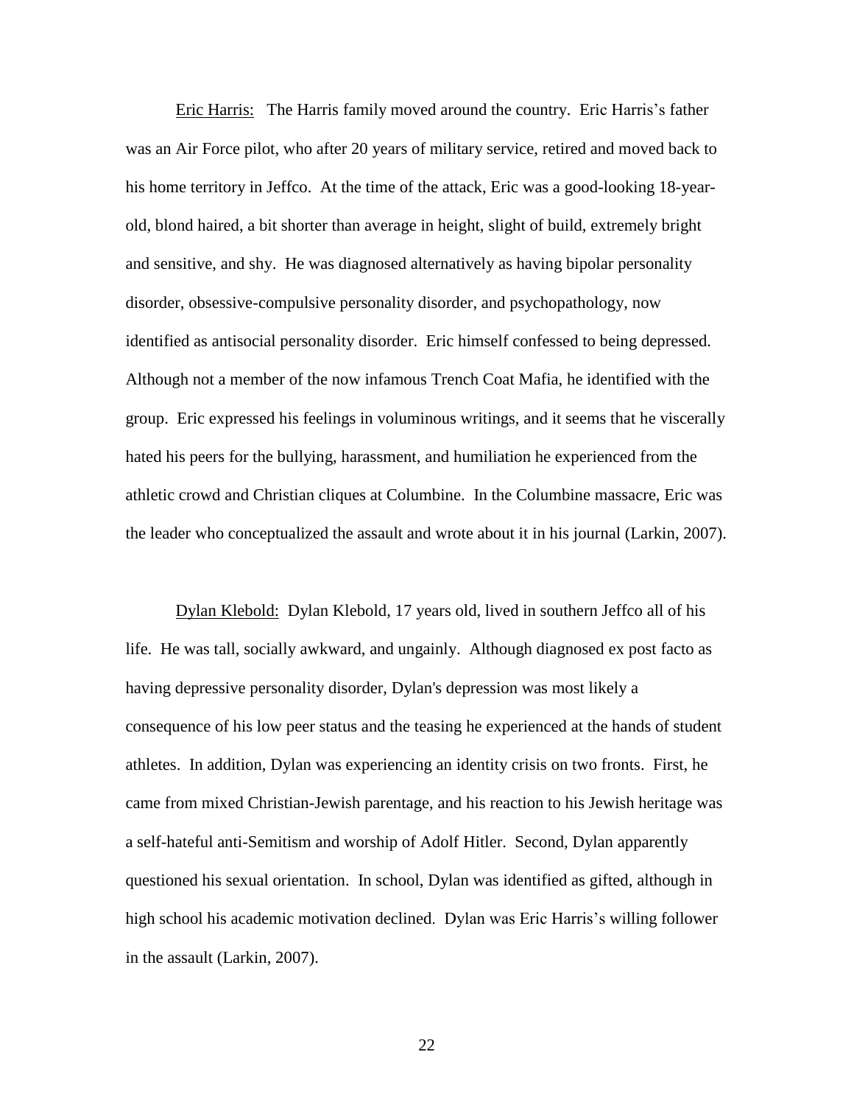Eric Harris: The Harris family moved around the country. Eric Harris's father was an Air Force pilot, who after 20 years of military service, retired and moved back to his home territory in Jeffco. At the time of the attack, Eric was a good-looking 18-yearold, blond haired, a bit shorter than average in height, slight of build, extremely bright and sensitive, and shy. He was diagnosed alternatively as having bipolar personality disorder, obsessive-compulsive personality disorder, and psychopathology, now identified as antisocial personality disorder. Eric himself confessed to being depressed. Although not a member of the now infamous Trench Coat Mafia, he identified with the group. Eric expressed his feelings in voluminous writings, and it seems that he viscerally hated his peers for the bullying, harassment, and humiliation he experienced from the athletic crowd and Christian cliques at Columbine. In the Columbine massacre, Eric was the leader who conceptualized the assault and wrote about it in his journal (Larkin, 2007).

Dylan Klebold: Dylan Klebold, 17 years old, lived in southern Jeffco all of his life. He was tall, socially awkward, and ungainly. Although diagnosed ex post facto as having depressive personality disorder, Dylan's depression was most likely a consequence of his low peer status and the teasing he experienced at the hands of student athletes. In addition, Dylan was experiencing an identity crisis on two fronts. First, he came from mixed Christian-Jewish parentage, and his reaction to his Jewish heritage was a self-hateful anti-Semitism and worship of Adolf Hitler. Second, Dylan apparently questioned his sexual orientation. In school, Dylan was identified as gifted, although in high school his academic motivation declined. Dylan was Eric Harris's willing follower in the assault (Larkin, 2007).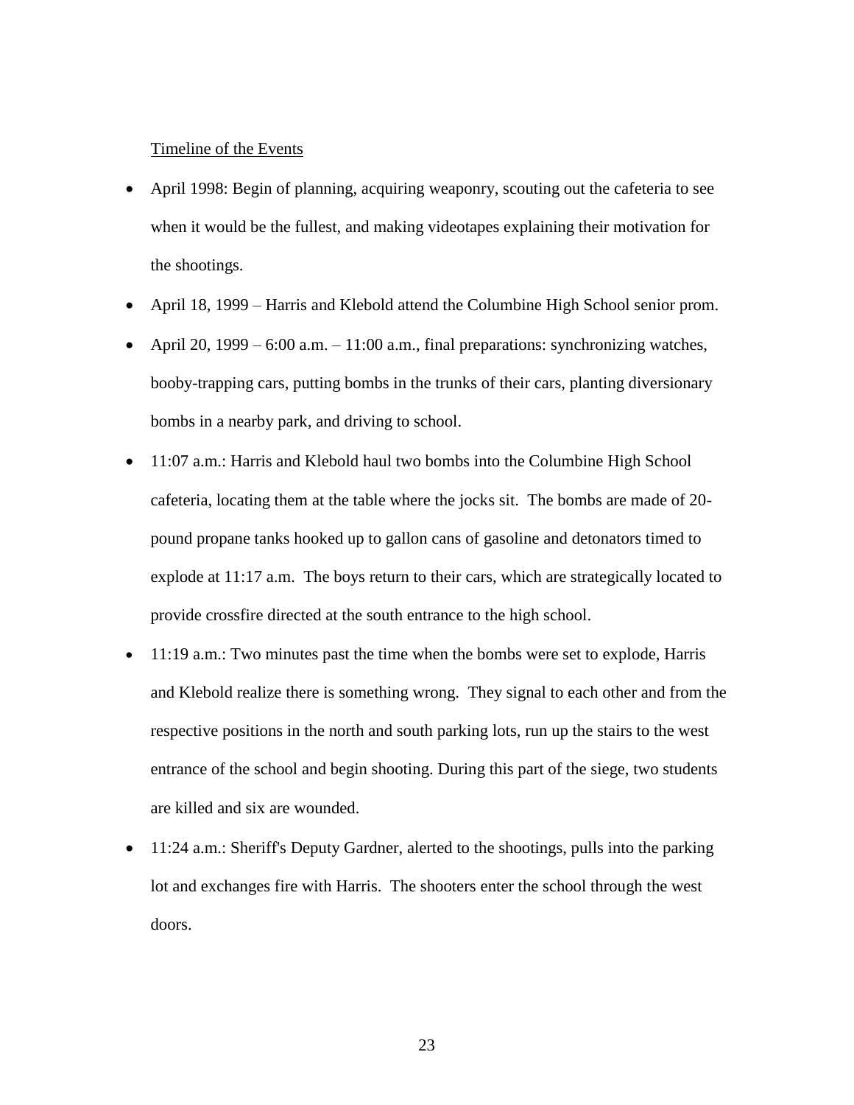# Timeline of the Events

- April 1998: Begin of planning, acquiring weaponry, scouting out the cafeteria to see when it would be the fullest, and making videotapes explaining their motivation for the shootings.
- April 18, 1999 Harris and Klebold attend the Columbine High School senior prom.
- April 20, 1999 6:00 a.m. 11:00 a.m., final preparations: synchronizing watches, booby-trapping cars, putting bombs in the trunks of their cars, planting diversionary bombs in a nearby park, and driving to school.
- 11:07 a.m.: Harris and Klebold haul two bombs into the Columbine High School cafeteria, locating them at the table where the jocks sit. The bombs are made of 20 pound propane tanks hooked up to gallon cans of gasoline and detonators timed to explode at 11:17 a.m. The boys return to their cars, which are strategically located to provide crossfire directed at the south entrance to the high school.
- 11:19 a.m.: Two minutes past the time when the bombs were set to explode, Harris and Klebold realize there is something wrong. They signal to each other and from the respective positions in the north and south parking lots, run up the stairs to the west entrance of the school and begin shooting. During this part of the siege, two students are killed and six are wounded.
- 11:24 a.m.: Sheriff's Deputy Gardner, alerted to the shootings, pulls into the parking lot and exchanges fire with Harris. The shooters enter the school through the west doors.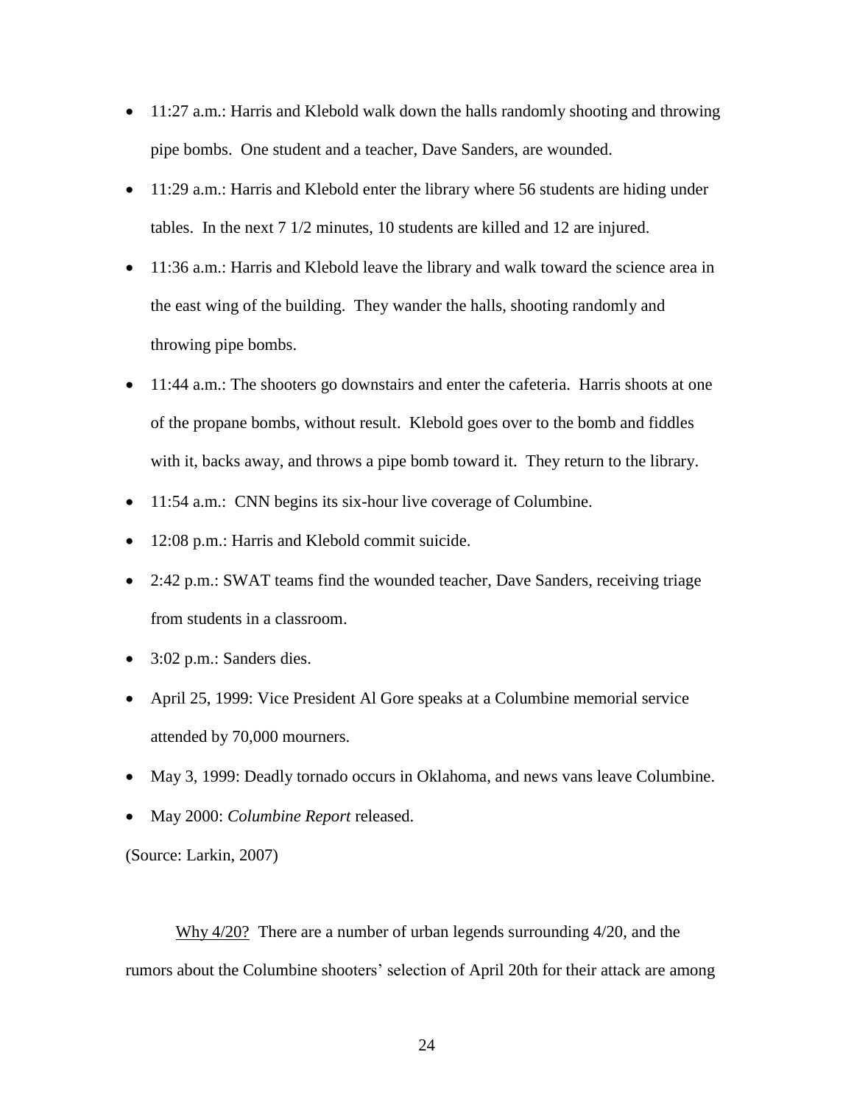- 11:27 a.m.: Harris and Klebold walk down the halls randomly shooting and throwing pipe bombs. One student and a teacher, Dave Sanders, are wounded.
- 11:29 a.m.: Harris and Klebold enter the library where 56 students are hiding under tables. In the next 7 1/2 minutes, 10 students are killed and 12 are injured.
- 11:36 a.m.: Harris and Klebold leave the library and walk toward the science area in the east wing of the building. They wander the halls, shooting randomly and throwing pipe bombs.
- 11:44 a.m.: The shooters go downstairs and enter the cafeteria. Harris shoots at one of the propane bombs, without result. Klebold goes over to the bomb and fiddles with it, backs away, and throws a pipe bomb toward it. They return to the library.
- 11:54 a.m.: CNN begins its six-hour live coverage of Columbine.
- 12:08 p.m.: Harris and Klebold commit suicide.
- 2:42 p.m.: SWAT teams find the wounded teacher, Dave Sanders, receiving triage from students in a classroom.
- 3:02 p.m.: Sanders dies.
- April 25, 1999: Vice President Al Gore speaks at a Columbine memorial service attended by 70,000 mourners.
- May 3, 1999: Deadly tornado occurs in Oklahoma, and news vans leave Columbine.
- May 2000: *Columbine Report* released.

(Source: Larkin, 2007)

Why  $4/20$ ? There are a number of urban legends surrounding  $4/20$ , and the rumors about the Columbine shooters' selection of April 20th for their attack are among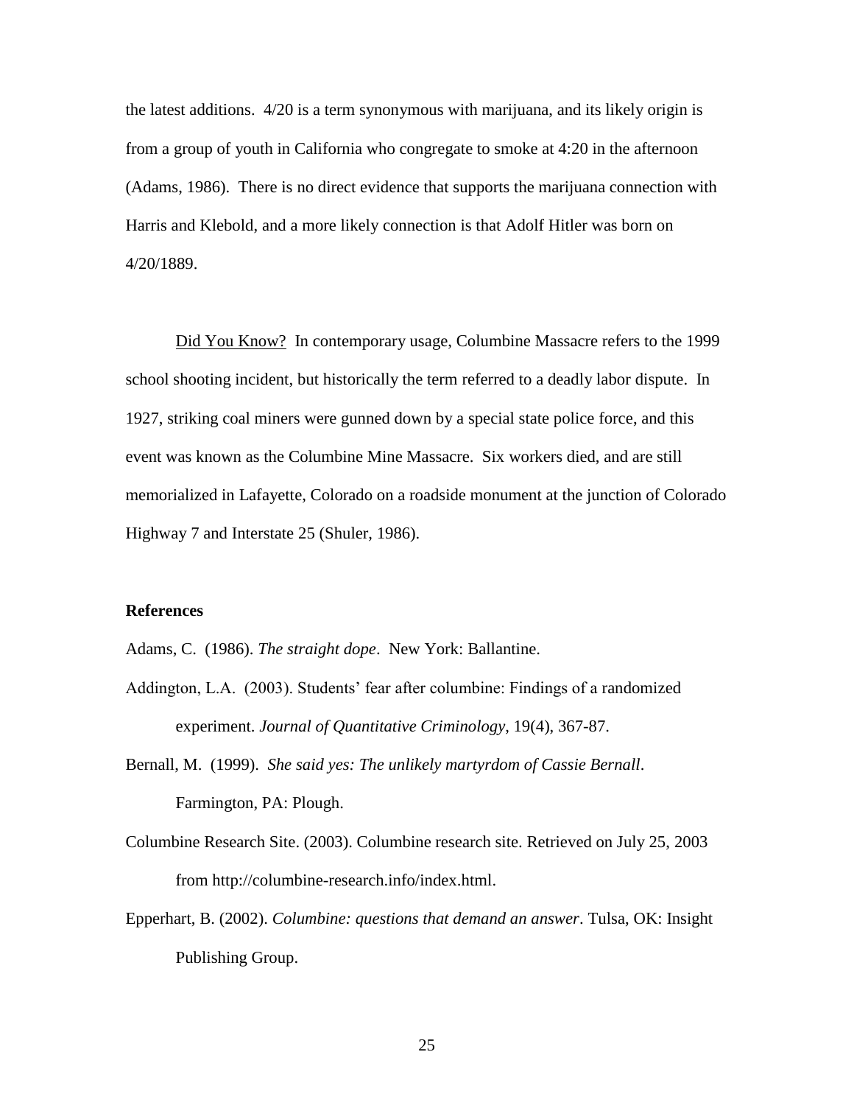the latest additions. 4/20 is a term synonymous with marijuana, and its likely origin is from a group of youth in California who congregate to smoke at 4:20 in the afternoon (Adams, 1986). There is no direct evidence that supports the marijuana connection with Harris and Klebold, and a more likely connection is that Adolf Hitler was born on 4/20/1889.

Did You Know? In contemporary usage, Columbine Massacre refers to the 1999 school shooting incident, but historically the term referred to a deadly labor dispute. In 1927, striking coal miners were gunned down by a special state police force, and this event was known as the Columbine Mine Massacre. Six workers died, and are still memorialized in Lafayette, Colorado on a roadside monument at the junction of Colorado Highway 7 and Interstate 25 (Shuler, 1986).

## **References**

- Adams, C. (1986). *The straight dope*. New York: Ballantine.
- Addington, L.A. (2003). Students' fear after columbine: Findings of a randomized experiment. *Journal of Quantitative Criminology*, 19(4), 367-87.
- Bernall, M. (1999). *She said yes: The unlikely martyrdom of Cassie Bernall*. Farmington, PA: Plough.
- Columbine Research Site. (2003). Columbine research site. Retrieved on July 25, 2003 from http://columbine-research.info/index.html.
- Epperhart, B. (2002). *Columbine: questions that demand an answer*. Tulsa, OK: Insight Publishing Group.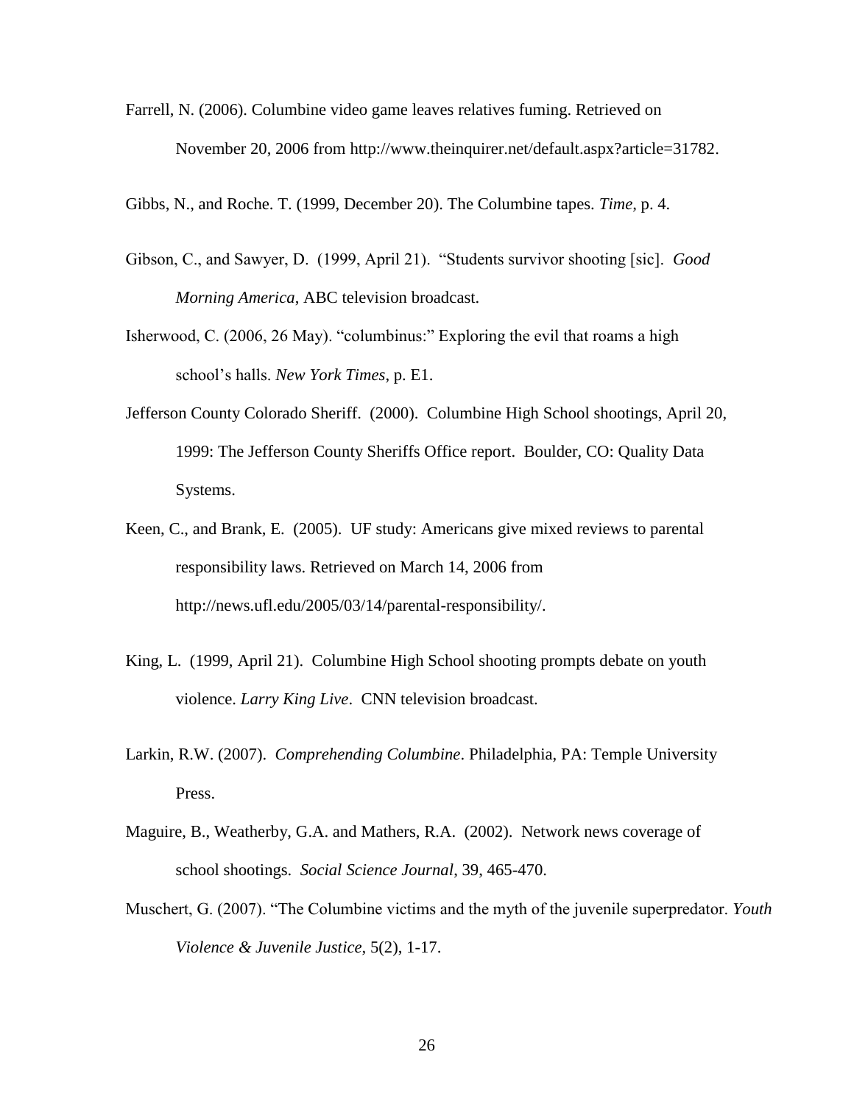Farrell, N. (2006). Columbine video game leaves relatives fuming. Retrieved on November 20, 2006 from http://www.theinquirer.net/default.aspx?article=31782.

Gibbs, N., and Roche. T. (1999, December 20). The Columbine tapes. *Time,* p. 4.

- Gibson, C., and Sawyer, D. (1999, April 21). "Students survivor shooting [sic]. *Good Morning America*, ABC television broadcast.
- Isherwood, C. (2006, 26 May). "columbinus:" Exploring the evil that roams a high school's halls. *New York Times*, p. E1.
- Jefferson County Colorado Sheriff. (2000). Columbine High School shootings, April 20, 1999: The Jefferson County Sheriffs Office report. Boulder, CO: Quality Data Systems.
- Keen, C., and Brank, E. (2005). UF study: Americans give mixed reviews to parental responsibility laws. Retrieved on March 14, 2006 from http://news.ufl.edu/2005/03/14/parental-responsibility/.
- King, L. (1999, April 21). Columbine High School shooting prompts debate on youth violence. *Larry King Live*. CNN television broadcast.
- Larkin, R.W. (2007). *Comprehending Columbine*. Philadelphia, PA: Temple University Press.
- Maguire, B., Weatherby, G.A. and Mathers, R.A. (2002). Network news coverage of school shootings. *Social Science Journal*, 39, 465-470.
- Muschert, G. (2007). "The Columbine victims and the myth of the juvenile superpredator. *Youth Violence & Juvenile Justice*, 5(2), 1-17.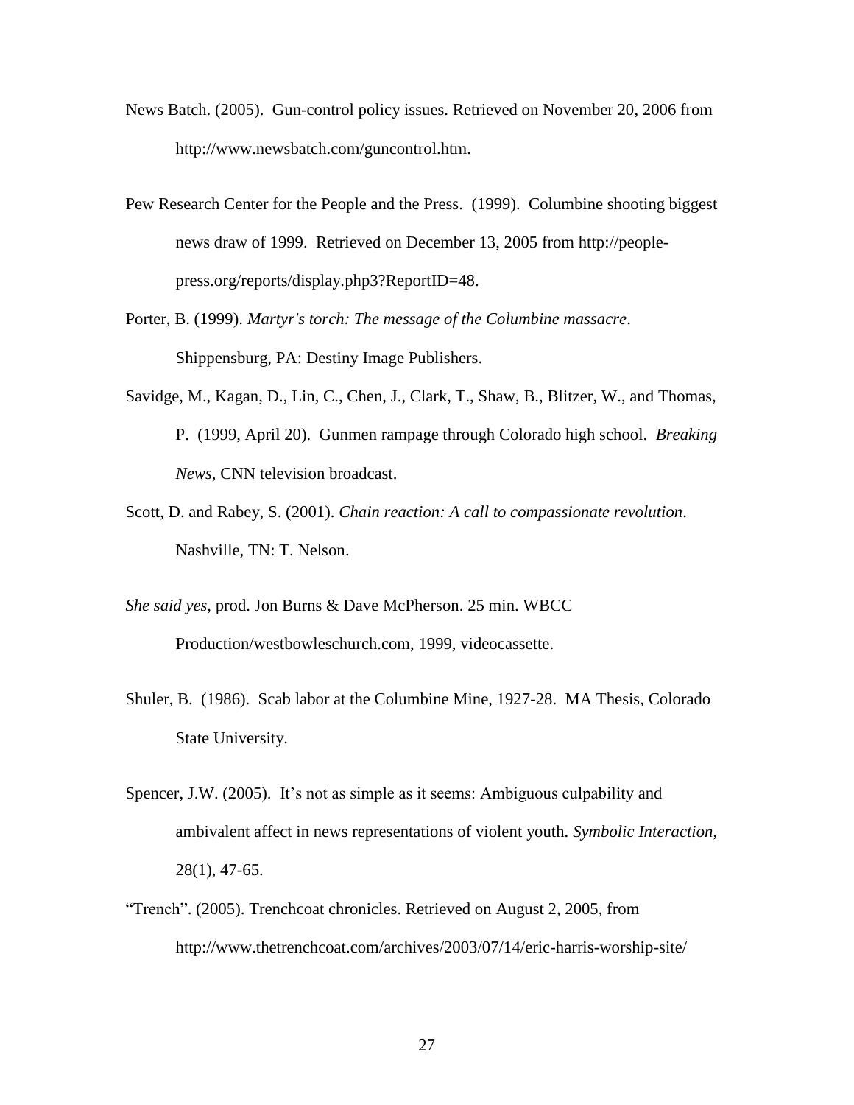- News Batch. (2005). Gun-control policy issues. Retrieved on November 20, 2006 from http://www.newsbatch.com/guncontrol.htm.
- Pew Research Center for the People and the Press. (1999). Columbine shooting biggest news draw of 1999. Retrieved on December 13, 2005 from http://peoplepress.org/reports/display.php3?ReportID=48.
- Porter, B. (1999). *Martyr's torch: The message of the Columbine massacre*. Shippensburg, PA: Destiny Image Publishers.
- Savidge, M., Kagan, D., Lin, C., Chen, J., Clark, T., Shaw, B., Blitzer, W., and Thomas, P. (1999, April 20). Gunmen rampage through Colorado high school. *Breaking News*, CNN television broadcast.
- Scott, D. and Rabey, S. (2001). *Chain reaction: A call to compassionate revolution*. Nashville, TN: T. Nelson.
- *She said yes*, prod. Jon Burns & Dave McPherson. 25 min. WBCC Production/westbowleschurch.com, 1999, videocassette.
- Shuler, B. (1986). Scab labor at the Columbine Mine, 1927-28. MA Thesis, Colorado State University.
- Spencer, J.W. (2005). It's not as simple as it seems: Ambiguous culpability and ambivalent affect in news representations of violent youth. *Symbolic Interaction*, 28(1), 47-65.
- "Trench". (2005). Trenchcoat chronicles. Retrieved on August 2, 2005, from http://www.thetrenchcoat.com/archives/2003/07/14/eric-harris-worship-site/